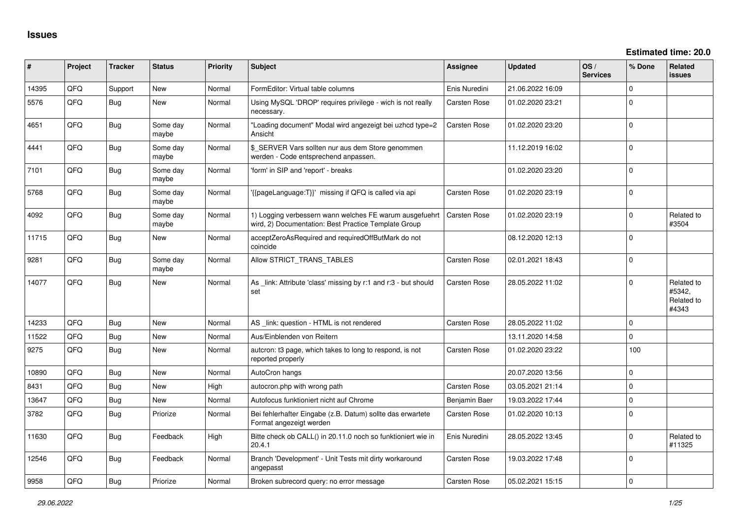| ∦     | Project | <b>Tracker</b> | <b>Status</b>     | <b>Priority</b> | <b>Subject</b>                                                                                                  | <b>Assignee</b>     | <b>Updated</b>   | OS/<br><b>Services</b> | % Done       | Related<br><b>issues</b>                    |
|-------|---------|----------------|-------------------|-----------------|-----------------------------------------------------------------------------------------------------------------|---------------------|------------------|------------------------|--------------|---------------------------------------------|
| 14395 | QFQ     | Support        | <b>New</b>        | Normal          | FormEditor: Virtual table columns                                                                               | Enis Nuredini       | 21.06.2022 16:09 |                        | 0            |                                             |
| 5576  | QFQ     | Bug            | <b>New</b>        | Normal          | Using MySQL 'DROP' requires privilege - wich is not really<br>necessary.                                        | Carsten Rose        | 01.02.2020 23:21 |                        | 0            |                                             |
| 4651  | QFQ     | <b>Bug</b>     | Some day<br>maybe | Normal          | "Loading document" Modal wird angezeigt bei uzhcd type=2<br>Ansicht                                             | Carsten Rose        | 01.02.2020 23:20 |                        | 0            |                                             |
| 4441  | QFQ     | <b>Bug</b>     | Some day<br>maybe | Normal          | \$ SERVER Vars sollten nur aus dem Store genommen<br>werden - Code entsprechend anpassen.                       |                     | 11.12.2019 16:02 |                        | $\Omega$     |                                             |
| 7101  | QFQ     | Bug            | Some day<br>maybe | Normal          | 'form' in SIP and 'report' - breaks                                                                             |                     | 01.02.2020 23:20 |                        | $\mathbf 0$  |                                             |
| 5768  | QFQ     | <b>Bug</b>     | Some day<br>maybe | Normal          | '{{pageLanguage:T}}' missing if QFQ is called via api                                                           | Carsten Rose        | 01.02.2020 23:19 |                        | $\Omega$     |                                             |
| 4092  | QFQ     | <b>Bug</b>     | Some day<br>maybe | Normal          | 1) Logging verbessern wann welches FE warum ausgefuehrt<br>wird, 2) Documentation: Best Practice Template Group | <b>Carsten Rose</b> | 01.02.2020 23:19 |                        | 0            | Related to<br>#3504                         |
| 11715 | QFQ     | <b>Bug</b>     | New               | Normal          | acceptZeroAsRequired and requiredOffButMark do not<br>coincide                                                  |                     | 08.12.2020 12:13 |                        | $\Omega$     |                                             |
| 9281  | QFQ     | <b>Bug</b>     | Some day<br>maybe | Normal          | Allow STRICT_TRANS_TABLES                                                                                       | <b>Carsten Rose</b> | 02.01.2021 18:43 |                        | 0            |                                             |
| 14077 | QFQ     | <b>Bug</b>     | New               | Normal          | As _link: Attribute 'class' missing by r:1 and r:3 - but should<br>set                                          | <b>Carsten Rose</b> | 28.05.2022 11:02 |                        | 0            | Related to<br>#5342.<br>Related to<br>#4343 |
| 14233 | QFQ     | Bug            | <b>New</b>        | Normal          | AS _link: question - HTML is not rendered                                                                       | Carsten Rose        | 28.05.2022 11:02 |                        | 0            |                                             |
| 11522 | QFQ     | <b>Bug</b>     | <b>New</b>        | Normal          | Aus/Einblenden von Reitern                                                                                      |                     | 13.11.2020 14:58 |                        | $\Omega$     |                                             |
| 9275  | QFQ     | Bug            | New               | Normal          | auteron: t3 page, which takes to long to respond, is not<br>reported properly                                   | Carsten Rose        | 01.02.2020 23:22 |                        | 100          |                                             |
| 10890 | QFQ     | Bug            | <b>New</b>        | Normal          | AutoCron hangs                                                                                                  |                     | 20.07.2020 13:56 |                        | $\mathbf{0}$ |                                             |
| 8431  | QFQ     | <b>Bug</b>     | <b>New</b>        | High            | autocron.php with wrong path                                                                                    | Carsten Rose        | 03.05.2021 21:14 |                        | $\mathbf{0}$ |                                             |
| 13647 | QFQ     | <b>Bug</b>     | <b>New</b>        | Normal          | Autofocus funktioniert nicht auf Chrome                                                                         | Benjamin Baer       | 19.03.2022 17:44 |                        | 0            |                                             |
| 3782  | QFQ     | <b>Bug</b>     | Priorize          | Normal          | Bei fehlerhafter Eingabe (z.B. Datum) sollte das erwartete<br>Format angezeigt werden                           | Carsten Rose        | 01.02.2020 10:13 |                        | $\mathbf 0$  |                                             |
| 11630 | QFQ     | Bug            | Feedback          | High            | Bitte check ob CALL() in 20.11.0 noch so funktioniert wie in<br>20.4.1                                          | Enis Nuredini       | 28.05.2022 13:45 |                        | $\mathbf{0}$ | Related to<br>#11325                        |
| 12546 | QFQ     | Bug            | Feedback          | Normal          | Branch 'Development' - Unit Tests mit dirty workaround<br>angepasst                                             | Carsten Rose        | 19.03.2022 17:48 |                        | $\mathbf 0$  |                                             |
| 9958  | QFQ     | <b>Bug</b>     | Priorize          | Normal          | Broken subrecord query: no error message                                                                        | Carsten Rose        | 05.02.2021 15:15 |                        | 0            |                                             |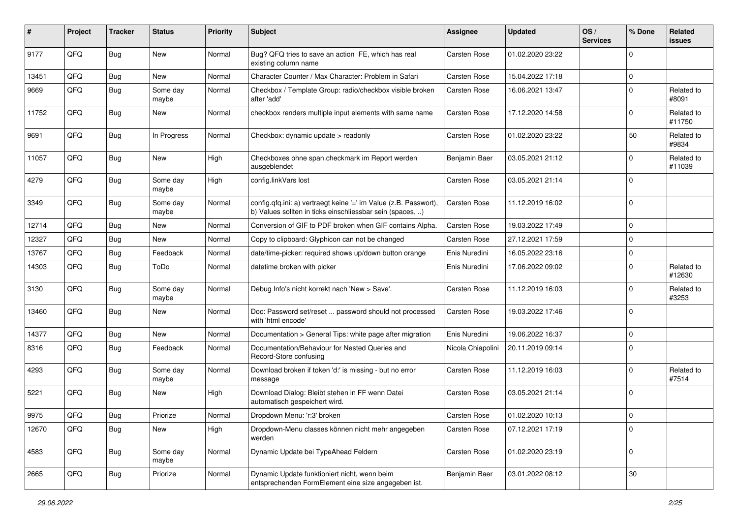| #     | Project | <b>Tracker</b> | <b>Status</b>     | <b>Priority</b> | <b>Subject</b>                                                                                                                | <b>Assignee</b>   | <b>Updated</b>   | OS/<br><b>Services</b> | % Done      | Related<br><b>issues</b> |
|-------|---------|----------------|-------------------|-----------------|-------------------------------------------------------------------------------------------------------------------------------|-------------------|------------------|------------------------|-------------|--------------------------|
| 9177  | QFQ     | Bug            | New               | Normal          | Bug? QFQ tries to save an action FE, which has real<br>existing column name                                                   | Carsten Rose      | 01.02.2020 23:22 |                        | $\mathbf 0$ |                          |
| 13451 | QFQ     | <b>Bug</b>     | New               | Normal          | Character Counter / Max Character: Problem in Safari                                                                          | Carsten Rose      | 15.04.2022 17:18 |                        | $\mathbf 0$ |                          |
| 9669  | QFQ     | <b>Bug</b>     | Some day<br>maybe | Normal          | Checkbox / Template Group: radio/checkbox visible broken<br>after 'add'                                                       | Carsten Rose      | 16.06.2021 13:47 |                        | $\mathbf 0$ | Related to<br>#8091      |
| 11752 | QFQ     | <b>Bug</b>     | New               | Normal          | checkbox renders multiple input elements with same name                                                                       | Carsten Rose      | 17.12.2020 14:58 |                        | 0           | Related to<br>#11750     |
| 9691  | QFQ     | Bug            | In Progress       | Normal          | Checkbox: dynamic update > readonly                                                                                           | Carsten Rose      | 01.02.2020 23:22 |                        | 50          | Related to<br>#9834      |
| 11057 | QFQ     | Bug            | New               | High            | Checkboxes ohne span.checkmark im Report werden<br>ausgeblendet                                                               | Benjamin Baer     | 03.05.2021 21:12 |                        | 0           | Related to<br>#11039     |
| 4279  | QFQ     | <b>Bug</b>     | Some day<br>maybe | High            | config.linkVars lost                                                                                                          | Carsten Rose      | 03.05.2021 21:14 |                        | 0           |                          |
| 3349  | QFQ     | <b>Bug</b>     | Some day<br>maybe | Normal          | config.qfq.ini: a) vertraegt keine '=' im Value (z.B. Passwort),<br>b) Values sollten in ticks einschliessbar sein (spaces, ) | Carsten Rose      | 11.12.2019 16:02 |                        | 0           |                          |
| 12714 | QFQ     | Bug            | New               | Normal          | Conversion of GIF to PDF broken when GIF contains Alpha.                                                                      | Carsten Rose      | 19.03.2022 17:49 |                        | $\mathbf 0$ |                          |
| 12327 | QFQ     | Bug            | New               | Normal          | Copy to clipboard: Glyphicon can not be changed                                                                               | Carsten Rose      | 27.12.2021 17:59 |                        | 0           |                          |
| 13767 | QFQ     | Bug            | Feedback          | Normal          | date/time-picker: required shows up/down button orange                                                                        | Enis Nuredini     | 16.05.2022 23:16 |                        | 0           |                          |
| 14303 | QFQ     | Bug            | ToDo              | Normal          | datetime broken with picker                                                                                                   | Enis Nuredini     | 17.06.2022 09:02 |                        | $\mathbf 0$ | Related to<br>#12630     |
| 3130  | QFQ     | Bug            | Some day<br>maybe | Normal          | Debug Info's nicht korrekt nach 'New > Save'.                                                                                 | Carsten Rose      | 11.12.2019 16:03 |                        | 0           | Related to<br>#3253      |
| 13460 | QFQ     | Bug            | New               | Normal          | Doc: Password set/reset  password should not processed<br>with 'html encode'                                                  | Carsten Rose      | 19.03.2022 17:46 |                        | $\mathbf 0$ |                          |
| 14377 | QFQ     | Bug            | New               | Normal          | Documentation > General Tips: white page after migration                                                                      | Enis Nuredini     | 19.06.2022 16:37 |                        | 0           |                          |
| 8316  | QFQ     | <b>Bug</b>     | Feedback          | Normal          | Documentation/Behaviour for Nested Queries and<br>Record-Store confusing                                                      | Nicola Chiapolini | 20.11.2019 09:14 |                        | $\mathbf 0$ |                          |
| 4293  | QFQ     | Bug            | Some day<br>maybe | Normal          | Download broken if token 'd:' is missing - but no error<br>message                                                            | Carsten Rose      | 11.12.2019 16:03 |                        | 0           | Related to<br>#7514      |
| 5221  | QFQ     | Bug            | New               | High            | Download Dialog: Bleibt stehen in FF wenn Datei<br>automatisch gespeichert wird.                                              | Carsten Rose      | 03.05.2021 21:14 |                        | 0           |                          |
| 9975  | QFQ     | Bug            | Priorize          | Normal          | Dropdown Menu: 'r:3' broken                                                                                                   | Carsten Rose      | 01.02.2020 10:13 |                        | 0           |                          |
| 12670 | QFQ     | <b>Bug</b>     | New               | High            | Dropdown-Menu classes können nicht mehr angegeben<br>werden                                                                   | Carsten Rose      | 07.12.2021 17:19 |                        | 0           |                          |
| 4583  | QFQ     | <b>Bug</b>     | Some day<br>maybe | Normal          | Dynamic Update bei TypeAhead Feldern                                                                                          | Carsten Rose      | 01.02.2020 23:19 |                        | 0           |                          |
| 2665  | QFQ     | Bug            | Priorize          | Normal          | Dynamic Update funktioniert nicht, wenn beim<br>entsprechenden FormElement eine size angegeben ist.                           | Benjamin Baer     | 03.01.2022 08:12 |                        | $30\,$      |                          |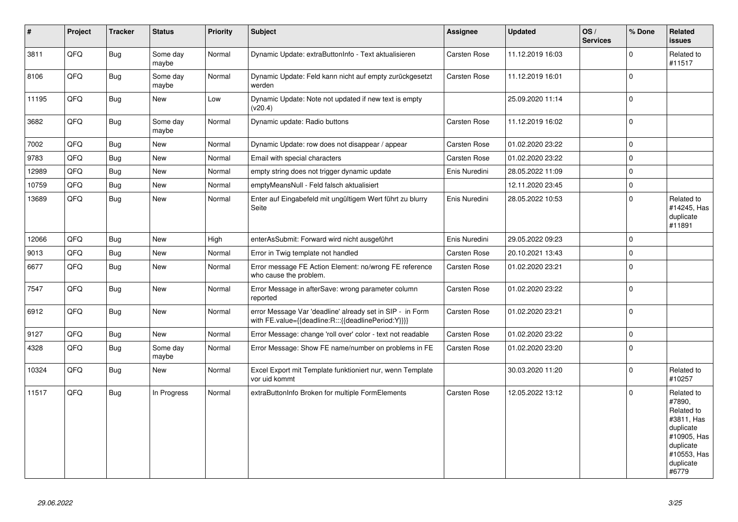| $\vert$ # | Project | <b>Tracker</b> | <b>Status</b>     | <b>Priority</b> | <b>Subject</b>                                                                                                   | Assignee            | <b>Updated</b>   | OS/<br><b>Services</b> | % Done         | Related<br><b>issues</b>                                                                                                       |
|-----------|---------|----------------|-------------------|-----------------|------------------------------------------------------------------------------------------------------------------|---------------------|------------------|------------------------|----------------|--------------------------------------------------------------------------------------------------------------------------------|
| 3811      | QFQ     | <b>Bug</b>     | Some day<br>maybe | Normal          | Dynamic Update: extraButtonInfo - Text aktualisieren                                                             | Carsten Rose        | 11.12.2019 16:03 |                        | $\Omega$       | Related to<br>#11517                                                                                                           |
| 8106      | QFQ     | <b>Bug</b>     | Some day<br>maybe | Normal          | Dynamic Update: Feld kann nicht auf empty zurückgesetzt<br>werden                                                | Carsten Rose        | 11.12.2019 16:01 |                        | $\Omega$       |                                                                                                                                |
| 11195     | QFQ     | <b>Bug</b>     | New               | Low             | Dynamic Update: Note not updated if new text is empty<br>(v20.4)                                                 |                     | 25.09.2020 11:14 |                        | 0              |                                                                                                                                |
| 3682      | QFQ     | <b>Bug</b>     | Some day<br>maybe | Normal          | Dynamic update: Radio buttons                                                                                    | Carsten Rose        | 11.12.2019 16:02 |                        | $\mathbf 0$    |                                                                                                                                |
| 7002      | QFQ     | <b>Bug</b>     | New               | Normal          | Dynamic Update: row does not disappear / appear                                                                  | Carsten Rose        | 01.02.2020 23:22 |                        | $\mathbf 0$    |                                                                                                                                |
| 9783      | QFQ     | Bug            | New               | Normal          | Email with special characters                                                                                    | <b>Carsten Rose</b> | 01.02.2020 23:22 |                        | $\Omega$       |                                                                                                                                |
| 12989     | QFQ     | <b>Bug</b>     | New               | Normal          | empty string does not trigger dynamic update                                                                     | Enis Nuredini       | 28.05.2022 11:09 |                        | 0              |                                                                                                                                |
| 10759     | QFQ     | <b>Bug</b>     | <b>New</b>        | Normal          | emptyMeansNull - Feld falsch aktualisiert                                                                        |                     | 12.11.2020 23:45 |                        | $\Omega$       |                                                                                                                                |
| 13689     | QFQ     | <b>Bug</b>     | New               | Normal          | Enter auf Eingabefeld mit ungültigem Wert führt zu blurry<br>Seite                                               | Enis Nuredini       | 28.05.2022 10:53 |                        | $\Omega$       | Related to<br>#14245, Has<br>duplicate<br>#11891                                                                               |
| 12066     | QFQ     | <b>Bug</b>     | New               | High            | enterAsSubmit: Forward wird nicht ausgeführt                                                                     | Enis Nuredini       | 29.05.2022 09:23 |                        | $\overline{0}$ |                                                                                                                                |
| 9013      | QFQ     | Bug            | New               | Normal          | Error in Twig template not handled                                                                               | <b>Carsten Rose</b> | 20.10.2021 13:43 |                        | 0              |                                                                                                                                |
| 6677      | QFQ     | Bug            | New               | Normal          | Error message FE Action Element: no/wrong FE reference<br>who cause the problem.                                 | Carsten Rose        | 01.02.2020 23:21 |                        | $\Omega$       |                                                                                                                                |
| 7547      | QFQ     | <b>Bug</b>     | New               | Normal          | Error Message in afterSave: wrong parameter column<br>reported                                                   | <b>Carsten Rose</b> | 01.02.2020 23:22 |                        | 0              |                                                                                                                                |
| 6912      | QFQ     | <b>Bug</b>     | New               | Normal          | error Message Var 'deadline' already set in SIP - in Form<br>with FE.value={{deadline:R:::{{deadlinePeriod:Y}}}} | Carsten Rose        | 01.02.2020 23:21 |                        | 0              |                                                                                                                                |
| 9127      | QFQ     | Bug            | New               | Normal          | Error Message: change 'roll over' color - text not readable                                                      | Carsten Rose        | 01.02.2020 23:22 |                        | $\mathbf 0$    |                                                                                                                                |
| 4328      | QFQ     | Bug            | Some day<br>maybe | Normal          | Error Message: Show FE name/number on problems in FE                                                             | <b>Carsten Rose</b> | 01.02.2020 23:20 |                        | $\Omega$       |                                                                                                                                |
| 10324     | QFQ     | Bug            | New               | Normal          | Excel Export mit Template funktioniert nur, wenn Template<br>vor uid kommt                                       |                     | 30.03.2020 11:20 |                        | $\Omega$       | Related to<br>#10257                                                                                                           |
| 11517     | QFQ     | <b>Bug</b>     | In Progress       | Normal          | extraButtonInfo Broken for multiple FormElements                                                                 | <b>Carsten Rose</b> | 12.05.2022 13:12 |                        | $\Omega$       | Related to<br>#7890,<br>Related to<br>#3811, Has<br>duplicate<br>#10905, Has<br>duplicate<br>#10553, Has<br>duplicate<br>#6779 |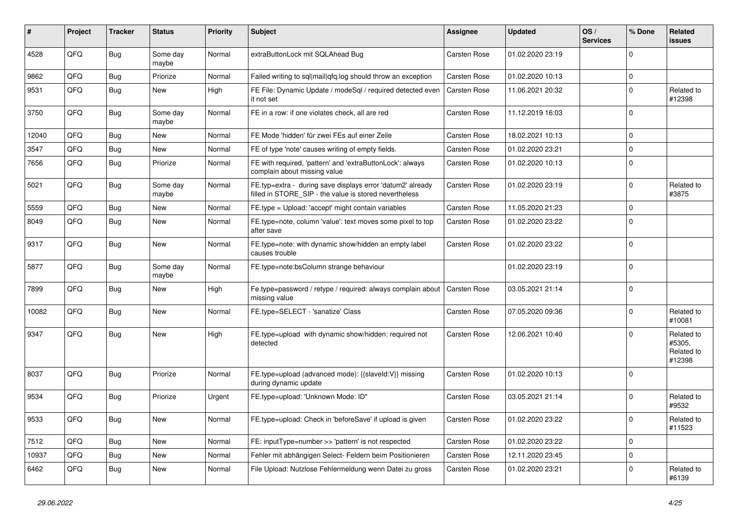| ∦     | Project | <b>Tracker</b> | <b>Status</b>     | <b>Priority</b> | <b>Subject</b>                                                                                                       | Assignee            | <b>Updated</b>   | OS/<br><b>Services</b> | % Done      | Related<br><b>issues</b>                     |
|-------|---------|----------------|-------------------|-----------------|----------------------------------------------------------------------------------------------------------------------|---------------------|------------------|------------------------|-------------|----------------------------------------------|
| 4528  | QFQ     | Bug            | Some day<br>maybe | Normal          | extraButtonLock mit SQLAhead Bug                                                                                     | Carsten Rose        | 01.02.2020 23:19 |                        | $\Omega$    |                                              |
| 9862  | QFQ     | Bug            | Priorize          | Normal          | Failed writing to sql mail qfq.log should throw an exception                                                         | Carsten Rose        | 01.02.2020 10:13 |                        | $\mathbf 0$ |                                              |
| 9531  | QFQ     | <b>Bug</b>     | New               | High            | FE File: Dynamic Update / modeSgl / required detected even<br>it not set                                             | Carsten Rose        | 11.06.2021 20:32 |                        | $\mathbf 0$ | Related to<br>#12398                         |
| 3750  | QFQ     | Bug            | Some day<br>maybe | Normal          | FE in a row: if one violates check, all are red                                                                      | Carsten Rose        | 11.12.2019 16:03 |                        | $\Omega$    |                                              |
| 12040 | QFQ     | Bug            | <b>New</b>        | Normal          | FE Mode 'hidden' für zwei FEs auf einer Zeile                                                                        | Carsten Rose        | 18.02.2021 10:13 |                        | $\Omega$    |                                              |
| 3547  | QFQ     | <b>Bug</b>     | <b>New</b>        | Normal          | FE of type 'note' causes writing of empty fields.                                                                    | Carsten Rose        | 01.02.2020 23:21 |                        | $\Omega$    |                                              |
| 7656  | QFQ     | <b>Bug</b>     | Priorize          | Normal          | FE with required, 'pattern' and 'extraButtonLock': always<br>complain about missing value                            | <b>Carsten Rose</b> | 01.02.2020 10:13 |                        | $\Omega$    |                                              |
| 5021  | QFQ     | Bug            | Some dav<br>maybe | Normal          | FE.typ=extra - during save displays error 'datum2' already<br>filled in STORE SIP - the value is stored nevertheless | Carsten Rose        | 01.02.2020 23:19 |                        | $\Omega$    | Related to<br>#3875                          |
| 5559  | QFQ     | <b>Bug</b>     | New               | Normal          | FE.type = Upload: 'accept' might contain variables                                                                   | <b>Carsten Rose</b> | 11.05.2020 21:23 |                        | $\Omega$    |                                              |
| 8049  | QFQ     | <b>Bug</b>     | New               | Normal          | FE.type=note, column 'value': text moves some pixel to top<br>after save                                             | <b>Carsten Rose</b> | 01.02.2020 23:22 |                        | $\Omega$    |                                              |
| 9317  | QFQ     | Bug            | New               | Normal          | FE.type=note: with dynamic show/hidden an empty label<br>causes trouble                                              | <b>Carsten Rose</b> | 01.02.2020 23:22 |                        | 0           |                                              |
| 5877  | QFQ     | <b>Bug</b>     | Some day<br>maybe | Normal          | FE.type=note:bsColumn strange behaviour                                                                              |                     | 01.02.2020 23:19 |                        | $\Omega$    |                                              |
| 7899  | QFQ     | Bug            | New               | High            | Fe.type=password / retype / required: always complain about<br>missing value                                         | <b>Carsten Rose</b> | 03.05.2021 21:14 |                        | $\Omega$    |                                              |
| 10082 | QFQ     | Bug            | <b>New</b>        | Normal          | FE.type=SELECT - 'sanatize' Class                                                                                    | Carsten Rose        | 07.05.2020 09:36 |                        | $\Omega$    | Related to<br>#10081                         |
| 9347  | QFQ     | Bug            | New               | High            | FE.type=upload with dynamic show/hidden: required not<br>detected                                                    | <b>Carsten Rose</b> | 12.06.2021 10:40 |                        | $\Omega$    | Related to<br>#5305,<br>Related to<br>#12398 |
| 8037  | QFQ     | Bug            | Priorize          | Normal          | FE.type=upload (advanced mode): {{slaveId:V}} missing<br>during dynamic update                                       | <b>Carsten Rose</b> | 01.02.2020 10:13 |                        | $\Omega$    |                                              |
| 9534  | QFQ     | Bug            | Priorize          | Urgent          | FE.type=upload: 'Unknown Mode: ID"                                                                                   | Carsten Rose        | 03.05.2021 21:14 |                        | $\Omega$    | Related to<br>#9532                          |
| 9533  | QFQ     | <b>Bug</b>     | <b>New</b>        | Normal          | FE.type=upload: Check in 'beforeSave' if upload is given                                                             | <b>Carsten Rose</b> | 01.02.2020 23:22 |                        | $\mathbf 0$ | Related to<br>#11523                         |
| 7512  | QFQ     | Bug            | New               | Normal          | FE: inputType=number >> 'pattern' is not respected                                                                   | <b>Carsten Rose</b> | 01.02.2020 23:22 |                        | $\Omega$    |                                              |
| 10937 | QFQ     | Bug            | New               | Normal          | Fehler mit abhängigen Select- Feldern beim Positionieren                                                             | <b>Carsten Rose</b> | 12.11.2020 23:45 |                        | $\Omega$    |                                              |
| 6462  | QFQ     | Bug            | New               | Normal          | File Upload: Nutzlose Fehlermeldung wenn Datei zu gross                                                              | Carsten Rose        | 01.02.2020 23:21 |                        | $\Omega$    | Related to<br>#6139                          |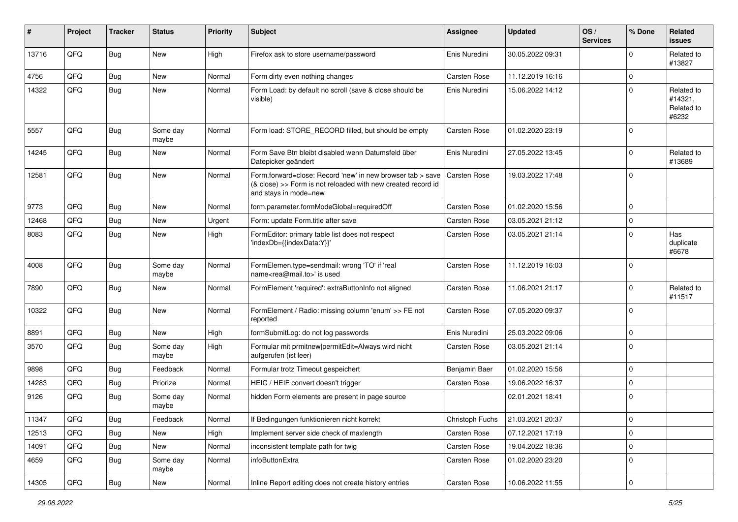| #     | Project        | <b>Tracker</b> | <b>Status</b>     | <b>Priority</b> | <b>Subject</b>                                                                                                                                      | <b>Assignee</b> | <b>Updated</b>   | OS/<br><b>Services</b> | % Done      | <b>Related</b><br><b>issues</b>              |
|-------|----------------|----------------|-------------------|-----------------|-----------------------------------------------------------------------------------------------------------------------------------------------------|-----------------|------------------|------------------------|-------------|----------------------------------------------|
| 13716 | QFQ            | Bug            | <b>New</b>        | High            | Firefox ask to store username/password                                                                                                              | Enis Nuredini   | 30.05.2022 09:31 |                        | $\Omega$    | Related to<br>#13827                         |
| 4756  | QFQ            | <b>Bug</b>     | New               | Normal          | Form dirty even nothing changes                                                                                                                     | Carsten Rose    | 11.12.2019 16:16 |                        | $\mathbf 0$ |                                              |
| 14322 | QFQ            | Bug            | New               | Normal          | Form Load: by default no scroll (save & close should be<br>visible)                                                                                 | Enis Nuredini   | 15.06.2022 14:12 |                        | $\Omega$    | Related to<br>#14321,<br>Related to<br>#6232 |
| 5557  | QFQ            | Bug            | Some day<br>maybe | Normal          | Form load: STORE_RECORD filled, but should be empty                                                                                                 | Carsten Rose    | 01.02.2020 23:19 |                        |             |                                              |
| 14245 | QFQ            | Bug            | New               | Normal          | Form Save Btn bleibt disabled wenn Datumsfeld über<br>Datepicker geändert                                                                           | Enis Nuredini   | 27.05.2022 13:45 |                        | $\Omega$    | Related to<br>#13689                         |
| 12581 | QFQ            | <b>Bug</b>     | <b>New</b>        | Normal          | Form.forward=close: Record 'new' in new browser tab > save<br>(& close) >> Form is not reloaded with new created record id<br>and stays in mode=new | Carsten Rose    | 19.03.2022 17:48 |                        | $\Omega$    |                                              |
| 9773  | QFQ            | Bug            | <b>New</b>        | Normal          | form.parameter.formModeGlobal=requiredOff                                                                                                           | Carsten Rose    | 01.02.2020 15:56 |                        | $\Omega$    |                                              |
| 12468 | QFQ            | Bug            | New               | Urgent          | Form: update Form.title after save                                                                                                                  | Carsten Rose    | 03.05.2021 21:12 |                        | $\Omega$    |                                              |
| 8083  | QFQ            | Bug            | New               | High            | FormEditor: primary table list does not respect<br>'indexDb={{indexData:Y}}'                                                                        | Carsten Rose    | 03.05.2021 21:14 |                        | $\Omega$    | Has<br>duplicate<br>#6678                    |
| 4008  | QFQ            | Bug            | Some day<br>maybe | Normal          | FormElemen.type=sendmail: wrong 'TO' if 'real<br>name <rea@mail.to>' is used</rea@mail.to>                                                          | Carsten Rose    | 11.12.2019 16:03 |                        | $\mathbf 0$ |                                              |
| 7890  | QFQ            | Bug            | New               | Normal          | FormElement 'required': extraButtonInfo not aligned                                                                                                 | Carsten Rose    | 11.06.2021 21:17 |                        | $\Omega$    | Related to<br>#11517                         |
| 10322 | QFQ            | Bug            | New               | Normal          | FormElement / Radio: missing column 'enum' >> FE not<br>reported                                                                                    | Carsten Rose    | 07.05.2020 09:37 |                        | $\Omega$    |                                              |
| 8891  | QFQ            | Bug            | New               | High            | formSubmitLog: do not log passwords                                                                                                                 | Enis Nuredini   | 25.03.2022 09:06 |                        | $\Omega$    |                                              |
| 3570  | QFQ            | <b>Bug</b>     | Some day<br>maybe | High            | Formular mit prmitnew permitEdit=Always wird nicht<br>aufgerufen (ist leer)                                                                         | Carsten Rose    | 03.05.2021 21:14 |                        | $\Omega$    |                                              |
| 9898  | QFQ            | Bug            | Feedback          | Normal          | Formular trotz Timeout gespeichert                                                                                                                  | Benjamin Baer   | 01.02.2020 15:56 |                        | $\mathbf 0$ |                                              |
| 14283 | QFQ            | <b>Bug</b>     | Priorize          | Normal          | HEIC / HEIF convert doesn't trigger                                                                                                                 | Carsten Rose    | 19.06.2022 16:37 |                        | $\Omega$    |                                              |
| 9126  | QFQ            | Bug            | Some day<br>maybe | Normal          | hidden Form elements are present in page source                                                                                                     |                 | 02.01.2021 18:41 |                        | $\Omega$    |                                              |
| 11347 | $\mathsf{QFQ}$ | Bug            | Feedback          | Normal          | If Bedingungen funktionieren nicht korrekt                                                                                                          | Christoph Fuchs | 21.03.2021 20:37 |                        | $\pmb{0}$   |                                              |
| 12513 | QFQ            | Bug            | New               | High            | Implement server side check of maxlength                                                                                                            | Carsten Rose    | 07.12.2021 17:19 |                        | $\mathbf 0$ |                                              |
| 14091 | QFQ            | Bug            | New               | Normal          | inconsistent template path for twig                                                                                                                 | Carsten Rose    | 19.04.2022 18:36 |                        | $\mathbf 0$ |                                              |
| 4659  | QFQ            | Bug            | Some day<br>maybe | Normal          | infoButtonExtra                                                                                                                                     | Carsten Rose    | 01.02.2020 23:20 |                        | 0           |                                              |
| 14305 | QFQ            | <b>Bug</b>     | New               | Normal          | Inline Report editing does not create history entries                                                                                               | Carsten Rose    | 10.06.2022 11:55 |                        | $\mathsf 0$ |                                              |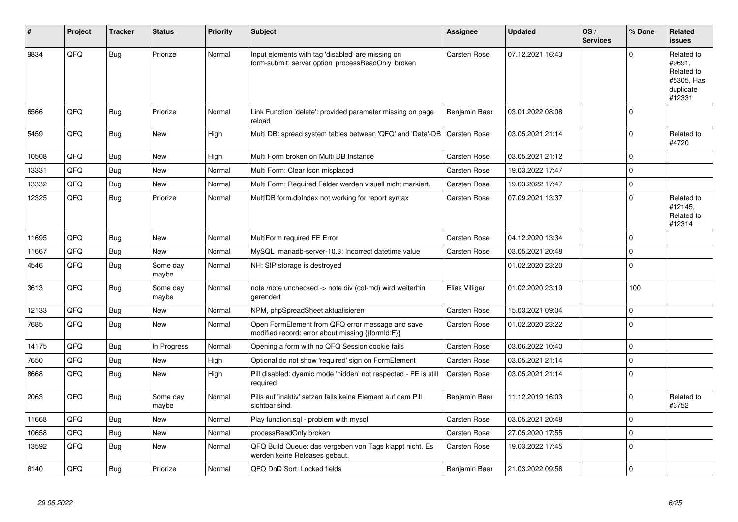| #     | Project | <b>Tracker</b> | <b>Status</b>     | <b>Priority</b> | <b>Subject</b>                                                                                           | Assignee            | <b>Updated</b>   | OS/<br><b>Services</b> | % Done      | Related<br><b>issues</b>                                                |
|-------|---------|----------------|-------------------|-----------------|----------------------------------------------------------------------------------------------------------|---------------------|------------------|------------------------|-------------|-------------------------------------------------------------------------|
| 9834  | QFQ     | Bug            | Priorize          | Normal          | Input elements with tag 'disabled' are missing on<br>form-submit: server option 'processReadOnly' broken | <b>Carsten Rose</b> | 07.12.2021 16:43 |                        | $\Omega$    | Related to<br>#9691,<br>Related to<br>#5305, Has<br>duplicate<br>#12331 |
| 6566  | QFQ     | Bug            | Priorize          | Normal          | Link Function 'delete': provided parameter missing on page<br>reload                                     | Benjamin Baer       | 03.01.2022 08:08 |                        | $\Omega$    |                                                                         |
| 5459  | QFQ     | <b>Bug</b>     | <b>New</b>        | High            | Multi DB: spread system tables between 'QFQ' and 'Data'-DB                                               | <b>Carsten Rose</b> | 03.05.2021 21:14 |                        | $\Omega$    | Related to<br>#4720                                                     |
| 10508 | QFQ     | Bug            | New               | High            | Multi Form broken on Multi DB Instance                                                                   | <b>Carsten Rose</b> | 03.05.2021 21:12 |                        | $\Omega$    |                                                                         |
| 13331 | QFQ     | Bug            | <b>New</b>        | Normal          | Multi Form: Clear Icon misplaced                                                                         | Carsten Rose        | 19.03.2022 17:47 |                        | $\Omega$    |                                                                         |
| 13332 | QFQ     | <b>Bug</b>     | <b>New</b>        | Normal          | Multi Form: Required Felder werden visuell nicht markiert.                                               | Carsten Rose        | 19.03.2022 17:47 |                        | $\Omega$    |                                                                         |
| 12325 | QFQ     | Bug            | Priorize          | Normal          | MultiDB form.dblndex not working for report syntax                                                       | Carsten Rose        | 07.09.2021 13:37 |                        | $\Omega$    | Related to<br>#12145,<br>Related to<br>#12314                           |
| 11695 | QFQ     | <b>Bug</b>     | <b>New</b>        | Normal          | MultiForm required FE Error                                                                              | Carsten Rose        | 04.12.2020 13:34 |                        | $\Omega$    |                                                                         |
| 11667 | QFQ     | Bug            | <b>New</b>        | Normal          | MySQL mariadb-server-10.3: Incorrect datetime value                                                      | <b>Carsten Rose</b> | 03.05.2021 20:48 |                        | $\Omega$    |                                                                         |
| 4546  | QFQ     | Bug            | Some day<br>maybe | Normal          | NH: SIP storage is destroyed                                                                             |                     | 01.02.2020 23:20 |                        | $\Omega$    |                                                                         |
| 3613  | QFQ     | <b>Bug</b>     | Some day<br>maybe | Normal          | note /note unchecked -> note div (col-md) wird weiterhin<br>gerendert                                    | Elias Villiger      | 01.02.2020 23:19 |                        | 100         |                                                                         |
| 12133 | QFQ     | Bug            | <b>New</b>        | Normal          | NPM, phpSpreadSheet aktualisieren                                                                        | <b>Carsten Rose</b> | 15.03.2021 09:04 |                        | $\mathbf 0$ |                                                                         |
| 7685  | QFQ     | Bug            | New               | Normal          | Open FormElement from QFQ error message and save<br>modified record: error about missing {{formId:F}}    | Carsten Rose        | 01.02.2020 23:22 |                        | $\Omega$    |                                                                         |
| 14175 | QFQ     | <b>Bug</b>     | In Progress       | Normal          | Opening a form with no QFQ Session cookie fails                                                          | Carsten Rose        | 03.06.2022 10:40 |                        | $\Omega$    |                                                                         |
| 7650  | QFQ     | <b>Bug</b>     | <b>New</b>        | High            | Optional do not show 'required' sign on FormElement                                                      | <b>Carsten Rose</b> | 03.05.2021 21:14 |                        | $\Omega$    |                                                                         |
| 8668  | QFQ     | Bug            | <b>New</b>        | High            | Pill disabled: dyamic mode 'hidden' not respected - FE is still<br>required                              | <b>Carsten Rose</b> | 03.05.2021 21:14 |                        | $\Omega$    |                                                                         |
| 2063  | QFQ     | Bug            | Some day<br>maybe | Normal          | Pills auf 'inaktiv' setzen falls keine Element auf dem Pill<br>sichtbar sind.                            | Benjamin Baer       | 11.12.2019 16:03 |                        | $\Omega$    | Related to<br>#3752                                                     |
| 11668 | QFQ     | Bug            | <b>New</b>        | Normal          | Play function.sql - problem with mysql                                                                   | <b>Carsten Rose</b> | 03.05.2021 20:48 |                        | $\Omega$    |                                                                         |
| 10658 | QFQ     | <b>Bug</b>     | <b>New</b>        | Normal          | processReadOnly broken                                                                                   | <b>Carsten Rose</b> | 27.05.2020 17:55 |                        | $\Omega$    |                                                                         |
| 13592 | QFQ     | Bug            | <b>New</b>        | Normal          | QFQ Build Queue: das vergeben von Tags klappt nicht. Es<br>werden keine Releases gebaut.                 | Carsten Rose        | 19.03.2022 17:45 |                        | $\Omega$    |                                                                         |
| 6140  | QFQ     | <b>Bug</b>     | Priorize          | Normal          | QFQ DnD Sort: Locked fields                                                                              | Benjamin Baer       | 21.03.2022 09:56 |                        | $\Omega$    |                                                                         |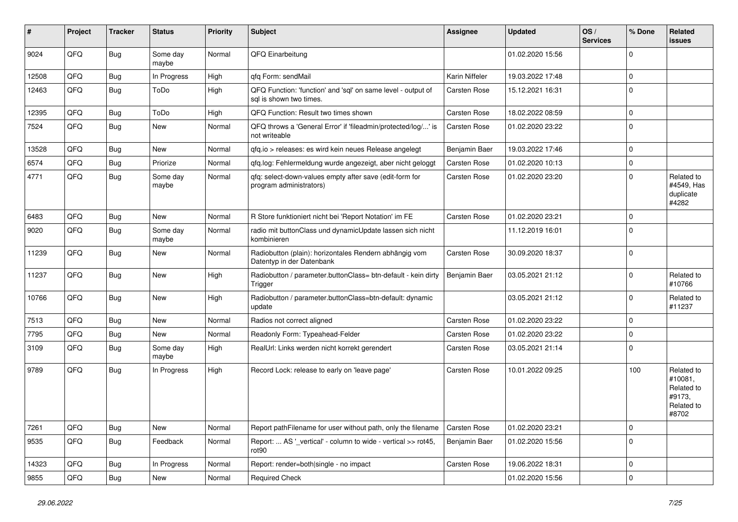| #     | Project | <b>Tracker</b> | <b>Status</b>     | <b>Priority</b> | Subject                                                                                 | <b>Assignee</b> | <b>Updated</b>   | OS/<br><b>Services</b> | % Done      | Related<br><b>issues</b>                                             |
|-------|---------|----------------|-------------------|-----------------|-----------------------------------------------------------------------------------------|-----------------|------------------|------------------------|-------------|----------------------------------------------------------------------|
| 9024  | QFQ     | Bug            | Some day<br>maybe | Normal          | QFQ Einarbeitung                                                                        |                 | 01.02.2020 15:56 |                        | 0           |                                                                      |
| 12508 | QFQ     | Bug            | In Progress       | High            | qfq Form: sendMail                                                                      | Karin Niffeler  | 19.03.2022 17:48 |                        | $\Omega$    |                                                                      |
| 12463 | QFQ     | <b>Bug</b>     | ToDo              | High            | QFQ Function: 'function' and 'sql' on same level - output of<br>sal is shown two times. | Carsten Rose    | 15.12.2021 16:31 |                        | $\Omega$    |                                                                      |
| 12395 | QFQ     | Bug            | ToDo              | High            | QFQ Function: Result two times shown                                                    | Carsten Rose    | 18.02.2022 08:59 |                        | $\mathbf 0$ |                                                                      |
| 7524  | QFQ     | Bug            | <b>New</b>        | Normal          | QFQ throws a 'General Error' if 'fileadmin/protected/log/' is<br>not writeable          | Carsten Rose    | 01.02.2020 23:22 |                        | $\mathbf 0$ |                                                                      |
| 13528 | QFQ     | <b>Bug</b>     | <b>New</b>        | Normal          | qfq.io > releases: es wird kein neues Release angelegt                                  | Benjamin Baer   | 19.03.2022 17:46 |                        | $\mathbf 0$ |                                                                      |
| 6574  | QFQ     | <b>Bug</b>     | Priorize          | Normal          | qfq.log: Fehlermeldung wurde angezeigt, aber nicht geloggt                              | Carsten Rose    | 01.02.2020 10:13 |                        | $\Omega$    |                                                                      |
| 4771  | QFQ     | Bug            | Some day<br>maybe | Normal          | qfq: select-down-values empty after save (edit-form for<br>program administrators)      | Carsten Rose    | 01.02.2020 23:20 |                        | $\Omega$    | Related to<br>#4549, Has<br>duplicate<br>#4282                       |
| 6483  | QFQ     | <b>Bug</b>     | <b>New</b>        | Normal          | R Store funktioniert nicht bei 'Report Notation' im FE                                  | Carsten Rose    | 01.02.2020 23:21 |                        | 0           |                                                                      |
| 9020  | QFQ     | <b>Bug</b>     | Some day<br>maybe | Normal          | radio mit buttonClass und dynamicUpdate lassen sich nicht<br>kombinieren                |                 | 11.12.2019 16:01 |                        | 0           |                                                                      |
| 11239 | QFQ     | Bug            | <b>New</b>        | Normal          | Radiobutton (plain): horizontales Rendern abhängig vom<br>Datentyp in der Datenbank     | Carsten Rose    | 30.09.2020 18:37 |                        | $\mathbf 0$ |                                                                      |
| 11237 | QFQ     | Bug            | <b>New</b>        | High            | Radiobutton / parameter.buttonClass= btn-default - kein dirty<br>Trigger                | Benjamin Baer   | 03.05.2021 21:12 |                        | $\Omega$    | Related to<br>#10766                                                 |
| 10766 | QFQ     | Bug            | New               | High            | Radiobutton / parameter.buttonClass=btn-default: dynamic<br>update                      |                 | 03.05.2021 21:12 |                        | U           | Related to<br>#11237                                                 |
| 7513  | QFQ     | Bug            | New               | Normal          | Radios not correct aligned                                                              | Carsten Rose    | 01.02.2020 23:22 |                        | 0           |                                                                      |
| 7795  | QFQ     | Bug            | New               | Normal          | Readonly Form: Typeahead-Felder                                                         | Carsten Rose    | 01.02.2020 23:22 |                        | $\mathbf 0$ |                                                                      |
| 3109  | QFQ     | <b>Bug</b>     | Some day<br>maybe | High            | RealUrl: Links werden nicht korrekt gerendert                                           | Carsten Rose    | 03.05.2021 21:14 |                        | $\mathbf 0$ |                                                                      |
| 9789  | QFQ     | <b>Bug</b>     | In Progress       | High            | Record Lock: release to early on 'leave page'                                           | Carsten Rose    | 10.01.2022 09:25 |                        | 100         | Related to<br>#10081,<br>Related to<br>#9173,<br>Related to<br>#8702 |
| 7261  | QFQ     | Bug            | New               | Normal          | Report pathFilename for user without path, only the filename                            | Carsten Rose    | 01.02.2020 23:21 |                        | $\mathbf 0$ |                                                                      |
| 9535  | QFQ     | <b>Bug</b>     | Feedback          | Normal          | Report:  AS ' vertical' - column to wide - vertical >> rot45,<br>rot90                  | Benjamin Baer   | 01.02.2020 15:56 |                        | $\mathbf 0$ |                                                                      |
| 14323 | QFQ     | <b>Bug</b>     | In Progress       | Normal          | Report: render=both single - no impact                                                  | Carsten Rose    | 19.06.2022 18:31 |                        | $\mathbf 0$ |                                                                      |
| 9855  | QFQ     | <b>Bug</b>     | New               | Normal          | <b>Required Check</b>                                                                   |                 | 01.02.2020 15:56 |                        | 0           |                                                                      |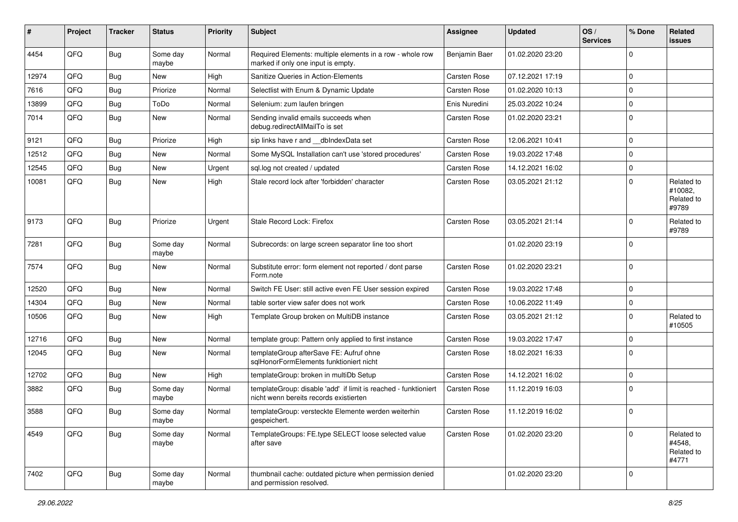| #     | Project | <b>Tracker</b> | <b>Status</b>     | <b>Priority</b> | Subject                                                                                                   | <b>Assignee</b>     | <b>Updated</b>   | OS/<br><b>Services</b> | % Done      | Related<br>issues                            |
|-------|---------|----------------|-------------------|-----------------|-----------------------------------------------------------------------------------------------------------|---------------------|------------------|------------------------|-------------|----------------------------------------------|
| 4454  | QFQ     | Bug            | Some day<br>maybe | Normal          | Required Elements: multiple elements in a row - whole row<br>marked if only one input is empty.           | Benjamin Baer       | 01.02.2020 23:20 |                        | $\Omega$    |                                              |
| 12974 | QFQ     | <b>Bug</b>     | New               | High            | Sanitize Queries in Action-Elements                                                                       | Carsten Rose        | 07.12.2021 17:19 |                        | $\mathbf 0$ |                                              |
| 7616  | QFQ     | <b>Bug</b>     | Priorize          | Normal          | Selectlist with Enum & Dynamic Update                                                                     | Carsten Rose        | 01.02.2020 10:13 |                        | 0           |                                              |
| 13899 | QFQ     | Bug            | ToDo              | Normal          | Selenium: zum laufen bringen                                                                              | Enis Nuredini       | 25.03.2022 10:24 |                        | $\mathbf 0$ |                                              |
| 7014  | QFQ     | Bug            | <b>New</b>        | Normal          | Sending invalid emails succeeds when<br>debug.redirectAllMailTo is set                                    | Carsten Rose        | 01.02.2020 23:21 |                        | $\Omega$    |                                              |
| 9121  | QFQ     | Bug            | Priorize          | High            | sip links have r and __dbIndexData set                                                                    | Carsten Rose        | 12.06.2021 10:41 |                        | 0           |                                              |
| 12512 | QFQ     | <b>Bug</b>     | <b>New</b>        | Normal          | Some MySQL Installation can't use 'stored procedures'                                                     | Carsten Rose        | 19.03.2022 17:48 |                        | $\Omega$    |                                              |
| 12545 | QFQ     | Bug            | New               | Urgent          | sql.log not created / updated                                                                             | Carsten Rose        | 14.12.2021 16:02 |                        | $\mathbf 0$ |                                              |
| 10081 | QFQ     | Bug            | New               | High            | Stale record lock after 'forbidden' character                                                             | Carsten Rose        | 03.05.2021 21:12 |                        | $\Omega$    | Related to<br>#10082,<br>Related to<br>#9789 |
| 9173  | QFQ     | Bug            | Priorize          | Urgent          | Stale Record Lock: Firefox                                                                                | Carsten Rose        | 03.05.2021 21:14 |                        | $\Omega$    | Related to<br>#9789                          |
| 7281  | QFQ     | Bug            | Some day<br>maybe | Normal          | Subrecords: on large screen separator line too short                                                      |                     | 01.02.2020 23:19 |                        | $\mathbf 0$ |                                              |
| 7574  | QFQ     | Bug            | New               | Normal          | Substitute error: form element not reported / dont parse<br>Form.note                                     | Carsten Rose        | 01.02.2020 23:21 |                        | $\Omega$    |                                              |
| 12520 | QFQ     | Bug            | New               | Normal          | Switch FE User: still active even FE User session expired                                                 | Carsten Rose        | 19.03.2022 17:48 |                        | $\mathbf 0$ |                                              |
| 14304 | QFQ     | <b>Bug</b>     | New               | Normal          | table sorter view safer does not work                                                                     | Carsten Rose        | 10.06.2022 11:49 |                        | $\mathbf 0$ |                                              |
| 10506 | QFQ     | Bug            | <b>New</b>        | High            | Template Group broken on MultiDB instance                                                                 | Carsten Rose        | 03.05.2021 21:12 |                        | $\Omega$    | Related to<br>#10505                         |
| 12716 | QFQ     | Bug            | <b>New</b>        | Normal          | template group: Pattern only applied to first instance                                                    | Carsten Rose        | 19.03.2022 17:47 |                        | 0           |                                              |
| 12045 | QFQ     | Bug            | New               | Normal          | templateGroup afterSave FE: Aufruf ohne<br>sqlHonorFormElements funktioniert nicht                        | Carsten Rose        | 18.02.2021 16:33 |                        | $\Omega$    |                                              |
| 12702 | QFQ     | Bug            | <b>New</b>        | High            | templateGroup: broken in multiDb Setup                                                                    | Carsten Rose        | 14.12.2021 16:02 |                        | $\mathbf 0$ |                                              |
| 3882  | QFQ     | <b>Bug</b>     | Some day<br>maybe | Normal          | templateGroup: disable 'add' if limit is reached - funktioniert<br>nicht wenn bereits records existierten | Carsten Rose        | 11.12.2019 16:03 |                        | $\mathbf 0$ |                                              |
| 3588  | QFQ     | <b>Bug</b>     | Some day<br>maybe | Normal          | templateGroup: versteckte Elemente werden weiterhin<br>gespeichert.                                       | <b>Carsten Rose</b> | 11.12.2019 16:02 |                        | $\mathbf 0$ |                                              |
| 4549  | QFQ     | Bug            | Some day<br>maybe | Normal          | TemplateGroups: FE.type SELECT loose selected value<br>after save                                         | Carsten Rose        | 01.02.2020 23:20 |                        | $\Omega$    | Related to<br>#4548,<br>Related to<br>#4771  |
| 7402  | QFQ     | Bug            | Some day<br>maybe | Normal          | thumbnail cache: outdated picture when permission denied<br>and permission resolved.                      |                     | 01.02.2020 23:20 |                        | 0           |                                              |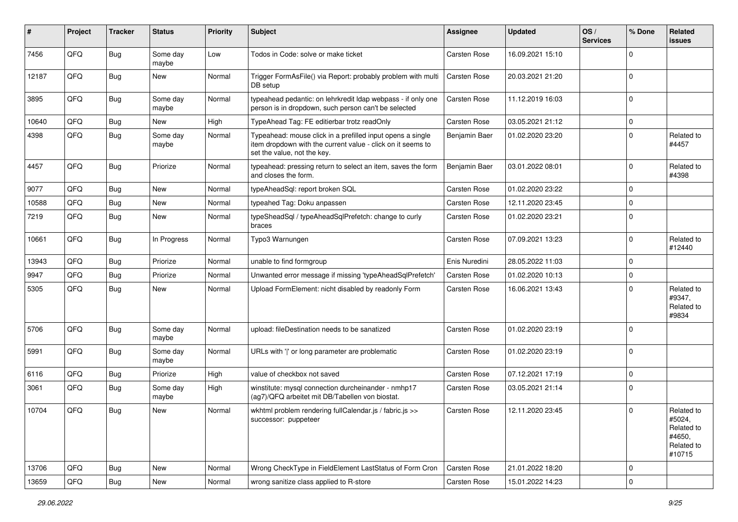| #     | Project | <b>Tracker</b> | <b>Status</b>     | <b>Priority</b> | Subject                                                                                                                                                  | <b>Assignee</b> | <b>Updated</b>   | OS/<br><b>Services</b> | % Done      | Related<br><b>issues</b>                                             |
|-------|---------|----------------|-------------------|-----------------|----------------------------------------------------------------------------------------------------------------------------------------------------------|-----------------|------------------|------------------------|-------------|----------------------------------------------------------------------|
| 7456  | QFQ     | Bug            | Some day<br>maybe | Low             | Todos in Code: solve or make ticket                                                                                                                      | Carsten Rose    | 16.09.2021 15:10 |                        | $\Omega$    |                                                                      |
| 12187 | QFQ     | <b>Bug</b>     | New               | Normal          | Trigger FormAsFile() via Report: probably problem with multi<br>DB setup                                                                                 | Carsten Rose    | 20.03.2021 21:20 |                        | $\Omega$    |                                                                      |
| 3895  | QFQ     | <b>Bug</b>     | Some day<br>maybe | Normal          | typeahead pedantic: on lehrkredit Idap webpass - if only one<br>person is in dropdown, such person can't be selected                                     | Carsten Rose    | 11.12.2019 16:03 |                        | $\Omega$    |                                                                      |
| 10640 | QFQ     | Bug            | New               | High            | TypeAhead Tag: FE editierbar trotz readOnly                                                                                                              | Carsten Rose    | 03.05.2021 21:12 |                        | $\mathbf 0$ |                                                                      |
| 4398  | QFQ     | <b>Bug</b>     | Some day<br>maybe | Normal          | Typeahead: mouse click in a prefilled input opens a single<br>item dropdown with the current value - click on it seems to<br>set the value, not the key. | Benjamin Baer   | 01.02.2020 23:20 |                        | $\Omega$    | Related to<br>#4457                                                  |
| 4457  | QFQ     | Bug            | Priorize          | Normal          | typeahead: pressing return to select an item, saves the form<br>and closes the form.                                                                     | Benjamin Baer   | 03.01.2022 08:01 |                        | $\Omega$    | Related to<br>#4398                                                  |
| 9077  | QFQ     | Bug            | <b>New</b>        | Normal          | typeAheadSql: report broken SQL                                                                                                                          | Carsten Rose    | 01.02.2020 23:22 |                        | $\mathbf 0$ |                                                                      |
| 10588 | QFQ     | <b>Bug</b>     | <b>New</b>        | Normal          | typeahed Tag: Doku anpassen                                                                                                                              | Carsten Rose    | 12.11.2020 23:45 |                        | $\mathbf 0$ |                                                                      |
| 7219  | QFQ     | <b>Bug</b>     | <b>New</b>        | Normal          | typeSheadSql / typeAheadSqlPrefetch: change to curly<br>braces                                                                                           | Carsten Rose    | 01.02.2020 23:21 |                        | $\Omega$    |                                                                      |
| 10661 | QFQ     | <b>Bug</b>     | In Progress       | Normal          | Typo3 Warnungen                                                                                                                                          | Carsten Rose    | 07.09.2021 13:23 |                        | $\mathbf 0$ | Related to<br>#12440                                                 |
| 13943 | QFQ     | <b>Bug</b>     | Priorize          | Normal          | unable to find formgroup                                                                                                                                 | Enis Nuredini   | 28.05.2022 11:03 |                        | $\Omega$    |                                                                      |
| 9947  | QFQ     | Bug            | Priorize          | Normal          | Unwanted error message if missing 'typeAheadSqlPrefetch'                                                                                                 | Carsten Rose    | 01.02.2020 10:13 |                        | $\mathbf 0$ |                                                                      |
| 5305  | QFQ     | <b>Bug</b>     | New               | Normal          | Upload FormElement: nicht disabled by readonly Form                                                                                                      | Carsten Rose    | 16.06.2021 13:43 |                        | $\Omega$    | Related to<br>#9347,<br>Related to<br>#9834                          |
| 5706  | QFQ     | Bug            | Some day<br>maybe | Normal          | upload: fileDestination needs to be sanatized                                                                                                            | Carsten Rose    | 01.02.2020 23:19 |                        | $\mathbf 0$ |                                                                      |
| 5991  | QFQ     | <b>Bug</b>     | Some day<br>maybe | Normal          | URLs with ' ' or long parameter are problematic                                                                                                          | Carsten Rose    | 01.02.2020 23:19 |                        | $\Omega$    |                                                                      |
| 6116  | QFQ     | <b>Bug</b>     | Priorize          | High            | value of checkbox not saved                                                                                                                              | Carsten Rose    | 07.12.2021 17:19 |                        | $\mathbf 0$ |                                                                      |
| 3061  | QFQ     | <b>Bug</b>     | Some day<br>maybe | High            | winstitute: mysql connection durcheinander - nmhp17<br>(ag7)/QFQ arbeitet mit DB/Tabellen von biostat.                                                   | Carsten Rose    | 03.05.2021 21:14 |                        | $\Omega$    |                                                                      |
| 10704 | QFQ     | <b>Bug</b>     | <b>New</b>        | Normal          | wkhtml problem rendering fullCalendar.js / fabric.js >><br>successor: puppeteer                                                                          | Carsten Rose    | 12.11.2020 23:45 |                        | $\Omega$    | Related to<br>#5024,<br>Related to<br>#4650,<br>Related to<br>#10715 |
| 13706 | QFQ     | Bug            | New               | Normal          | Wrong CheckType in FieldElement LastStatus of Form Cron                                                                                                  | Carsten Rose    | 21.01.2022 18:20 |                        | 0           |                                                                      |
| 13659 | QFQ     | Bug            | New               | Normal          | wrong sanitize class applied to R-store                                                                                                                  | Carsten Rose    | 15.01.2022 14:23 |                        | $\Omega$    |                                                                      |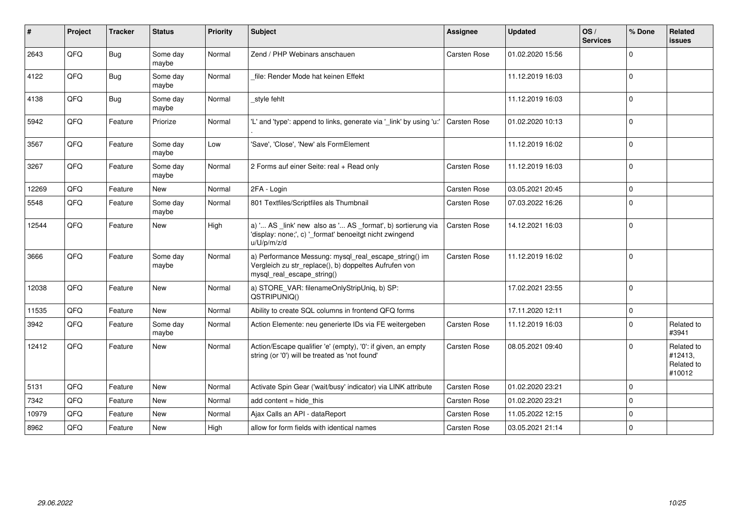| $\vert$ # | Project | <b>Tracker</b> | <b>Status</b>     | <b>Priority</b> | <b>Subject</b>                                                                                                                               | <b>Assignee</b> | <b>Updated</b>   | OS/<br><b>Services</b> | % Done         | Related<br><b>issues</b>                      |
|-----------|---------|----------------|-------------------|-----------------|----------------------------------------------------------------------------------------------------------------------------------------------|-----------------|------------------|------------------------|----------------|-----------------------------------------------|
| 2643      | QFQ     | Bug            | Some day<br>maybe | Normal          | Zend / PHP Webinars anschauen                                                                                                                | Carsten Rose    | 01.02.2020 15:56 |                        | $\Omega$       |                                               |
| 4122      | QFQ     | Bug            | Some day<br>maybe | Normal          | file: Render Mode hat keinen Effekt                                                                                                          |                 | 11.12.2019 16:03 |                        | $\mathbf 0$    |                                               |
| 4138      | QFQ     | Bug            | Some day<br>maybe | Normal          | style fehlt                                                                                                                                  |                 | 11.12.2019 16:03 |                        | $\Omega$       |                                               |
| 5942      | QFQ     | Feature        | Priorize          | Normal          | 'L' and 'type': append to links, generate via '_link' by using 'u:'                                                                          | Carsten Rose    | 01.02.2020 10:13 |                        | $\Omega$       |                                               |
| 3567      | QFQ     | Feature        | Some day<br>maybe | Low             | 'Save', 'Close', 'New' als FormElement                                                                                                       |                 | 11.12.2019 16:02 |                        | $\Omega$       |                                               |
| 3267      | QFQ     | Feature        | Some day<br>maybe | Normal          | 2 Forms auf einer Seite: real + Read only                                                                                                    | Carsten Rose    | 11.12.2019 16:03 |                        | $\mathbf 0$    |                                               |
| 12269     | QFQ     | Feature        | New               | Normal          | 2FA - Login                                                                                                                                  | Carsten Rose    | 03.05.2021 20:45 |                        | $\mathbf 0$    |                                               |
| 5548      | QFQ     | Feature        | Some day<br>maybe | Normal          | 801 Textfiles/Scriptfiles als Thumbnail                                                                                                      | Carsten Rose    | 07.03.2022 16:26 |                        | $\Omega$       |                                               |
| 12544     | QFQ     | Feature        | <b>New</b>        | High            | a) ' AS _link' new also as ' AS _format', b) sortierung via<br>'display: none;', c) '_format' benoeitgt nicht zwingend<br>u/U/p/m/z/d        | Carsten Rose    | 14.12.2021 16:03 |                        | $\Omega$       |                                               |
| 3666      | QFQ     | Feature        | Some day<br>maybe | Normal          | a) Performance Messung: mysql_real_escape_string() im<br>Vergleich zu str_replace(), b) doppeltes Aufrufen von<br>mysql_real_escape_string() | Carsten Rose    | 11.12.2019 16:02 |                        | $\overline{0}$ |                                               |
| 12038     | QFQ     | Feature        | <b>New</b>        | Normal          | a) STORE_VAR: filenameOnlyStripUniq, b) SP:<br>QSTRIPUNIQ()                                                                                  |                 | 17.02.2021 23:55 |                        | $\Omega$       |                                               |
| 11535     | QFQ     | Feature        | New               | Normal          | Ability to create SQL columns in frontend QFQ forms                                                                                          |                 | 17.11.2020 12:11 |                        | $\Omega$       |                                               |
| 3942      | QFQ     | Feature        | Some day<br>maybe | Normal          | Action Elemente: neu generierte IDs via FE weitergeben                                                                                       | Carsten Rose    | 11.12.2019 16:03 |                        | $\Omega$       | Related to<br>#3941                           |
| 12412     | QFQ     | Feature        | <b>New</b>        | Normal          | Action/Escape qualifier 'e' (empty), '0': if given, an empty<br>string (or '0') will be treated as 'not found'                               | Carsten Rose    | 08.05.2021 09:40 |                        | $\Omega$       | Related to<br>#12413,<br>Related to<br>#10012 |
| 5131      | QFQ     | Feature        | <b>New</b>        | Normal          | Activate Spin Gear ('wait/busy' indicator) via LINK attribute                                                                                | Carsten Rose    | 01.02.2020 23:21 |                        | $\Omega$       |                                               |
| 7342      | QFQ     | Feature        | New               | Normal          | add content = hide_this                                                                                                                      | Carsten Rose    | 01.02.2020 23:21 |                        | $\Omega$       |                                               |
| 10979     | QFQ     | Feature        | New               | Normal          | Ajax Calls an API - dataReport                                                                                                               | Carsten Rose    | 11.05.2022 12:15 |                        | $\Omega$       |                                               |
| 8962      | QFQ     | Feature        | New               | High            | allow for form fields with identical names                                                                                                   | Carsten Rose    | 03.05.2021 21:14 |                        | $\Omega$       |                                               |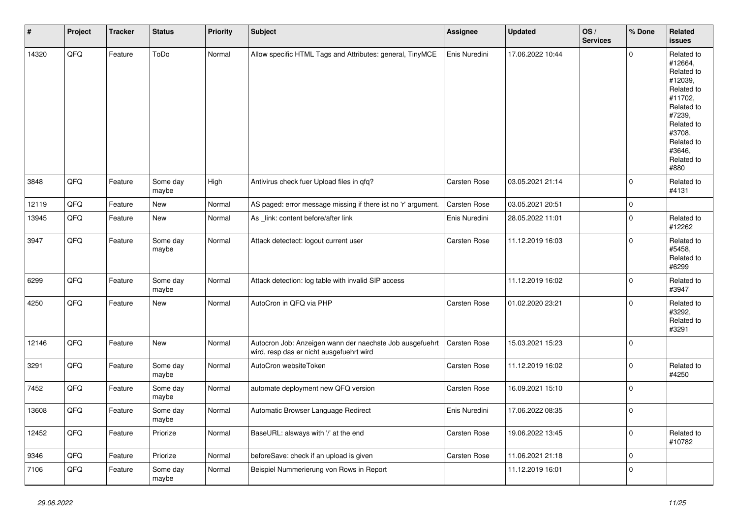| $\vert$ # | Project | <b>Tracker</b> | <b>Status</b>     | <b>Priority</b> | <b>Subject</b>                                                                                       | Assignee            | <b>Updated</b>   | OS/<br><b>Services</b> | % Done      | Related<br><b>issues</b>                                                                                                                                              |
|-----------|---------|----------------|-------------------|-----------------|------------------------------------------------------------------------------------------------------|---------------------|------------------|------------------------|-------------|-----------------------------------------------------------------------------------------------------------------------------------------------------------------------|
| 14320     | QFQ     | Feature        | ToDo              | Normal          | Allow specific HTML Tags and Attributes: general, TinyMCE                                            | Enis Nuredini       | 17.06.2022 10:44 |                        | $\Omega$    | Related to<br>#12664,<br>Related to<br>#12039,<br>Related to<br>#11702,<br>Related to<br>#7239,<br>Related to<br>#3708,<br>Related to<br>#3646,<br>Related to<br>#880 |
| 3848      | QFQ     | Feature        | Some day<br>maybe | High            | Antivirus check fuer Upload files in qfq?                                                            | Carsten Rose        | 03.05.2021 21:14 |                        | $\Omega$    | Related to<br>#4131                                                                                                                                                   |
| 12119     | QFQ     | Feature        | <b>New</b>        | Normal          | AS paged: error message missing if there ist no 'r' argument.                                        | Carsten Rose        | 03.05.2021 20:51 |                        | $\mathbf 0$ |                                                                                                                                                                       |
| 13945     | QFQ     | Feature        | New               | Normal          | As _link: content before/after link                                                                  | Enis Nuredini       | 28.05.2022 11:01 |                        | $\mathbf 0$ | Related to<br>#12262                                                                                                                                                  |
| 3947      | QFQ     | Feature        | Some day<br>maybe | Normal          | Attack detectect: logout current user                                                                | Carsten Rose        | 11.12.2019 16:03 |                        | $\Omega$    | Related to<br>#5458,<br>Related to<br>#6299                                                                                                                           |
| 6299      | QFQ     | Feature        | Some day<br>maybe | Normal          | Attack detection: log table with invalid SIP access                                                  |                     | 11.12.2019 16:02 |                        | $\mathbf 0$ | Related to<br>#3947                                                                                                                                                   |
| 4250      | QFQ     | Feature        | <b>New</b>        | Normal          | AutoCron in QFQ via PHP                                                                              | <b>Carsten Rose</b> | 01.02.2020 23:21 |                        | $\Omega$    | Related to<br>#3292,<br>Related to<br>#3291                                                                                                                           |
| 12146     | QFQ     | Feature        | <b>New</b>        | Normal          | Autocron Job: Anzeigen wann der naechste Job ausgefuehrt<br>wird, resp das er nicht ausgefuehrt wird | Carsten Rose        | 15.03.2021 15:23 |                        | $\Omega$    |                                                                                                                                                                       |
| 3291      | QFQ     | Feature        | Some day<br>maybe | Normal          | AutoCron websiteToken                                                                                | Carsten Rose        | 11.12.2019 16:02 |                        | $\mathbf 0$ | Related to<br>#4250                                                                                                                                                   |
| 7452      | QFQ     | Feature        | Some day<br>maybe | Normal          | automate deployment new QFQ version                                                                  | Carsten Rose        | 16.09.2021 15:10 |                        | $\Omega$    |                                                                                                                                                                       |
| 13608     | QFQ     | Feature        | Some day<br>maybe | Normal          | Automatic Browser Language Redirect                                                                  | Enis Nuredini       | 17.06.2022 08:35 |                        | $\mathbf 0$ |                                                                                                                                                                       |
| 12452     | QFQ     | Feature        | Priorize          | Normal          | BaseURL: alsways with '/' at the end                                                                 | Carsten Rose        | 19.06.2022 13:45 |                        | $\mathbf 0$ | Related to<br>#10782                                                                                                                                                  |
| 9346      | QFQ     | Feature        | Priorize          | Normal          | beforeSave: check if an upload is given                                                              | Carsten Rose        | 11.06.2021 21:18 |                        | $\mathbf 0$ |                                                                                                                                                                       |
| 7106      | QFQ     | Feature        | Some day<br>maybe | Normal          | Beispiel Nummerierung von Rows in Report                                                             |                     | 11.12.2019 16:01 |                        | $\mathbf 0$ |                                                                                                                                                                       |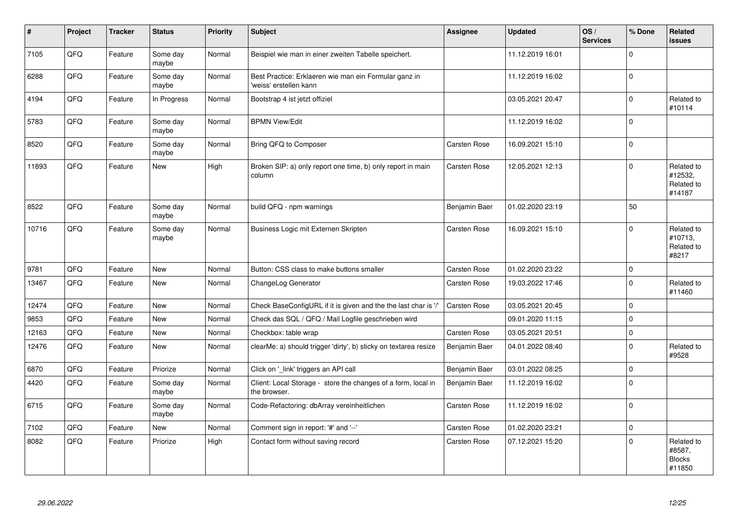| $\vert$ # | Project | <b>Tracker</b> | <b>Status</b>     | <b>Priority</b> | <b>Subject</b>                                                                  | <b>Assignee</b>     | <b>Updated</b>   | OS/<br><b>Services</b> | % Done      | Related<br><b>issues</b>                        |
|-----------|---------|----------------|-------------------|-----------------|---------------------------------------------------------------------------------|---------------------|------------------|------------------------|-------------|-------------------------------------------------|
| 7105      | QFQ     | Feature        | Some day<br>maybe | Normal          | Beispiel wie man in einer zweiten Tabelle speichert.                            |                     | 11.12.2019 16:01 |                        | $\Omega$    |                                                 |
| 6288      | QFQ     | Feature        | Some day<br>maybe | Normal          | Best Practice: Erklaeren wie man ein Formular ganz in<br>'weiss' erstellen kann |                     | 11.12.2019 16:02 |                        | $\Omega$    |                                                 |
| 4194      | QFQ     | Feature        | In Progress       | Normal          | Bootstrap 4 ist jetzt offiziel                                                  |                     | 03.05.2021 20:47 |                        | $\Omega$    | Related to<br>#10114                            |
| 5783      | QFQ     | Feature        | Some day<br>maybe | Normal          | <b>BPMN View/Edit</b>                                                           |                     | 11.12.2019 16:02 |                        | $\Omega$    |                                                 |
| 8520      | QFQ     | Feature        | Some day<br>maybe | Normal          | Bring QFQ to Composer                                                           | Carsten Rose        | 16.09.2021 15:10 |                        | $\mathbf 0$ |                                                 |
| 11893     | QFQ     | Feature        | <b>New</b>        | High            | Broken SIP: a) only report one time, b) only report in main<br>column           | Carsten Rose        | 12.05.2021 12:13 |                        | $\Omega$    | Related to<br>#12532,<br>Related to<br>#14187   |
| 8522      | QFQ     | Feature        | Some day<br>maybe | Normal          | build QFQ - npm warnings                                                        | Benjamin Baer       | 01.02.2020 23:19 |                        | 50          |                                                 |
| 10716     | QFQ     | Feature        | Some day<br>maybe | Normal          | Business Logic mit Externen Skripten                                            | Carsten Rose        | 16.09.2021 15:10 |                        | $\Omega$    | Related to<br>#10713,<br>Related to<br>#8217    |
| 9781      | QFQ     | Feature        | <b>New</b>        | Normal          | Button: CSS class to make buttons smaller                                       | Carsten Rose        | 01.02.2020 23:22 |                        | $\mathbf 0$ |                                                 |
| 13467     | QFQ     | Feature        | <b>New</b>        | Normal          | ChangeLog Generator                                                             | Carsten Rose        | 19.03.2022 17:46 |                        | $\Omega$    | Related to<br>#11460                            |
| 12474     | QFQ     | Feature        | <b>New</b>        | Normal          | Check BaseConfigURL if it is given and the the last char is '/'                 | <b>Carsten Rose</b> | 03.05.2021 20:45 |                        | $\Omega$    |                                                 |
| 9853      | QFQ     | Feature        | <b>New</b>        | Normal          | Check das SQL / QFQ / Mail Logfile geschrieben wird                             |                     | 09.01.2020 11:15 |                        | $\Omega$    |                                                 |
| 12163     | QFQ     | Feature        | New               | Normal          | Checkbox: table wrap                                                            | Carsten Rose        | 03.05.2021 20:51 |                        | $\mathbf 0$ |                                                 |
| 12476     | QFQ     | Feature        | <b>New</b>        | Normal          | clearMe: a) should trigger 'dirty', b) sticky on textarea resize                | Benjamin Baer       | 04.01.2022 08:40 |                        | $\Omega$    | Related to<br>#9528                             |
| 6870      | QFQ     | Feature        | Priorize          | Normal          | Click on '_link' triggers an API call                                           | Benjamin Baer       | 03.01.2022 08:25 |                        | $\Omega$    |                                                 |
| 4420      | QFQ     | Feature        | Some day<br>maybe | Normal          | Client: Local Storage - store the changes of a form, local in<br>the browser.   | Benjamin Baer       | 11.12.2019 16:02 |                        | $\mathbf 0$ |                                                 |
| 6715      | QFQ     | Feature        | Some day<br>maybe | Normal          | Code-Refactoring: dbArray vereinheitlichen                                      | Carsten Rose        | 11.12.2019 16:02 |                        | $\Omega$    |                                                 |
| 7102      | QFQ     | Feature        | <b>New</b>        | Normal          | Comment sign in report: '#' and '--'                                            | Carsten Rose        | 01.02.2020 23:21 |                        | $\Omega$    |                                                 |
| 8082      | QFQ     | Feature        | Priorize          | High            | Contact form without saving record                                              | Carsten Rose        | 07.12.2021 15:20 |                        | $\Omega$    | Related to<br>#8587,<br><b>Blocks</b><br>#11850 |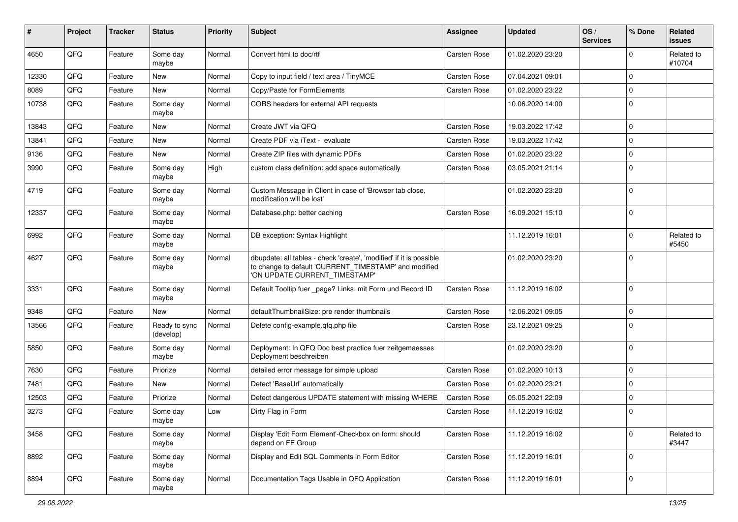| #     | Project | <b>Tracker</b> | <b>Status</b>              | <b>Priority</b> | <b>Subject</b>                                                                                                                                                | <b>Assignee</b>     | <b>Updated</b>   | OS/<br><b>Services</b> | % Done      | Related<br>issues    |
|-------|---------|----------------|----------------------------|-----------------|---------------------------------------------------------------------------------------------------------------------------------------------------------------|---------------------|------------------|------------------------|-------------|----------------------|
| 4650  | QFQ     | Feature        | Some day<br>maybe          | Normal          | Convert html to doc/rtf                                                                                                                                       | Carsten Rose        | 01.02.2020 23:20 |                        | $\Omega$    | Related to<br>#10704 |
| 12330 | QFQ     | Feature        | New                        | Normal          | Copy to input field / text area / TinyMCE                                                                                                                     | Carsten Rose        | 07.04.2021 09:01 |                        | $\Omega$    |                      |
| 8089  | QFQ     | Feature        | New                        | Normal          | Copy/Paste for FormElements                                                                                                                                   | Carsten Rose        | 01.02.2020 23:22 |                        | $\Omega$    |                      |
| 10738 | QFQ     | Feature        | Some day<br>maybe          | Normal          | CORS headers for external API requests                                                                                                                        |                     | 10.06.2020 14:00 |                        | $\Omega$    |                      |
| 13843 | QFQ     | Feature        | New                        | Normal          | Create JWT via QFQ                                                                                                                                            | Carsten Rose        | 19.03.2022 17:42 |                        | $\mathbf 0$ |                      |
| 13841 | QFQ     | Feature        | <b>New</b>                 | Normal          | Create PDF via iText - evaluate                                                                                                                               | Carsten Rose        | 19.03.2022 17:42 |                        | $\Omega$    |                      |
| 9136  | QFQ     | Feature        | <b>New</b>                 | Normal          | Create ZIP files with dynamic PDFs                                                                                                                            | Carsten Rose        | 01.02.2020 23:22 |                        | 0           |                      |
| 3990  | QFQ     | Feature        | Some day<br>maybe          | High            | custom class definition: add space automatically                                                                                                              | Carsten Rose        | 03.05.2021 21:14 |                        | $\Omega$    |                      |
| 4719  | QFQ     | Feature        | Some day<br>maybe          | Normal          | Custom Message in Client in case of 'Browser tab close,<br>modification will be lost'                                                                         |                     | 01.02.2020 23:20 |                        | $\mathbf 0$ |                      |
| 12337 | QFQ     | Feature        | Some day<br>maybe          | Normal          | Database.php: better caching                                                                                                                                  | Carsten Rose        | 16.09.2021 15:10 |                        | $\mathbf 0$ |                      |
| 6992  | QFQ     | Feature        | Some day<br>maybe          | Normal          | DB exception: Syntax Highlight                                                                                                                                |                     | 11.12.2019 16:01 |                        | 0           | Related to<br>#5450  |
| 4627  | QFQ     | Feature        | Some day<br>maybe          | Normal          | dbupdate: all tables - check 'create', 'modified' if it is possible<br>to change to default 'CURRENT_TIMESTAMP' and modified<br>'ON UPDATE CURRENT_TIMESTAMP' |                     | 01.02.2020 23:20 |                        | $\Omega$    |                      |
| 3331  | QFQ     | Feature        | Some day<br>maybe          | Normal          | Default Tooltip fuer page? Links: mit Form und Record ID                                                                                                      | <b>Carsten Rose</b> | 11.12.2019 16:02 |                        | $\Omega$    |                      |
| 9348  | QFQ     | Feature        | New                        | Normal          | defaultThumbnailSize: pre render thumbnails                                                                                                                   | Carsten Rose        | 12.06.2021 09:05 |                        | $\mathbf 0$ |                      |
| 13566 | QFQ     | Feature        | Ready to sync<br>(develop) | Normal          | Delete config-example.qfq.php file                                                                                                                            | Carsten Rose        | 23.12.2021 09:25 |                        | $\Omega$    |                      |
| 5850  | QFQ     | Feature        | Some day<br>maybe          | Normal          | Deployment: In QFQ Doc best practice fuer zeitgemaesses<br>Deployment beschreiben                                                                             |                     | 01.02.2020 23:20 |                        | $\mathbf 0$ |                      |
| 7630  | QFQ     | Feature        | Priorize                   | Normal          | detailed error message for simple upload                                                                                                                      | Carsten Rose        | 01.02.2020 10:13 |                        | $\mathbf 0$ |                      |
| 7481  | QFQ     | Feature        | New                        | Normal          | Detect 'BaseUrl' automatically                                                                                                                                | Carsten Rose        | 01.02.2020 23:21 |                        | $\mathbf 0$ |                      |
| 12503 | QFQ     | Feature        | Priorize                   | Normal          | Detect dangerous UPDATE statement with missing WHERE                                                                                                          | Carsten Rose        | 05.05.2021 22:09 |                        | 0           |                      |
| 3273  | QFQ     | Feature        | Some day<br>maybe          | Low             | Dirty Flag in Form                                                                                                                                            | Carsten Rose        | 11.12.2019 16:02 |                        | $\Omega$    |                      |
| 3458  | QFQ     | Feature        | Some day<br>maybe          | Normal          | Display 'Edit Form Element'-Checkbox on form: should<br>depend on FE Group                                                                                    | Carsten Rose        | 11.12.2019 16:02 |                        | 0           | Related to<br>#3447  |
| 8892  | QFQ     | Feature        | Some day<br>maybe          | Normal          | Display and Edit SQL Comments in Form Editor                                                                                                                  | Carsten Rose        | 11.12.2019 16:01 |                        | 0           |                      |
| 8894  | QFQ     | Feature        | Some day<br>maybe          | Normal          | Documentation Tags Usable in QFQ Application                                                                                                                  | Carsten Rose        | 11.12.2019 16:01 |                        | 0           |                      |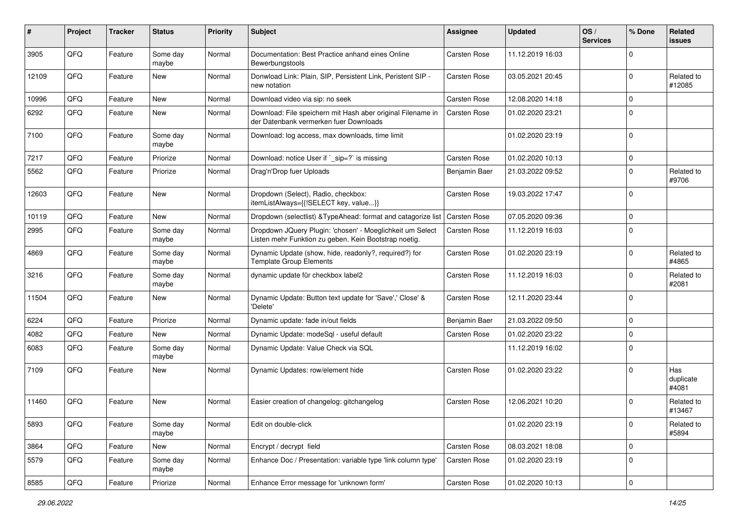| ∦     | Project | <b>Tracker</b> | <b>Status</b>     | <b>Priority</b> | Subject                                                                                                            | Assignee            | <b>Updated</b>   | OS/<br><b>Services</b> | % Done      | Related<br>issues         |
|-------|---------|----------------|-------------------|-----------------|--------------------------------------------------------------------------------------------------------------------|---------------------|------------------|------------------------|-------------|---------------------------|
| 3905  | QFQ     | Feature        | Some day<br>maybe | Normal          | Documentation: Best Practice anhand eines Online<br>Bewerbungstools                                                | Carsten Rose        | 11.12.2019 16:03 |                        | $\Omega$    |                           |
| 12109 | QFQ     | Feature        | New               | Normal          | Donwload Link: Plain, SIP, Persistent Link, Peristent SIP -<br>new notation                                        | Carsten Rose        | 03.05.2021 20:45 |                        | $\Omega$    | Related to<br>#12085      |
| 10996 | QFQ     | Feature        | New               | Normal          | Download video via sip: no seek                                                                                    | Carsten Rose        | 12.08.2020 14:18 |                        | $\Omega$    |                           |
| 6292  | QFQ     | Feature        | New               | Normal          | Download: File speichern mit Hash aber original Filename in<br>der Datenbank vermerken fuer Downloads              | Carsten Rose        | 01.02.2020 23:21 |                        | $\Omega$    |                           |
| 7100  | QFQ     | Feature        | Some day<br>maybe | Normal          | Download: log access, max downloads, time limit                                                                    |                     | 01.02.2020 23:19 |                        | $\Omega$    |                           |
| 7217  | QFQ     | Feature        | Priorize          | Normal          | Download: notice User if `_sip=?` is missing                                                                       | Carsten Rose        | 01.02.2020 10:13 |                        | $\mathbf 0$ |                           |
| 5562  | QFQ     | Feature        | Priorize          | Normal          | Drag'n'Drop fuer Uploads                                                                                           | Benjamin Baer       | 21.03.2022 09:52 |                        | $\Omega$    | Related to<br>#9706       |
| 12603 | QFQ     | Feature        | New               | Normal          | Dropdown (Select), Radio, checkbox:<br>itemListAlways={{!SELECT key, value}}                                       | Carsten Rose        | 19.03.2022 17:47 |                        | $\Omega$    |                           |
| 10119 | QFQ     | Feature        | New               | Normal          | Dropdown (selectlist) & Type Ahead: format and catagorize list                                                     | Carsten Rose        | 07.05.2020 09:36 |                        | $\mathbf 0$ |                           |
| 2995  | QFQ     | Feature        | Some day<br>maybe | Normal          | Dropdown JQuery Plugin: 'chosen' - Moeglichkeit um Select<br>Listen mehr Funktion zu geben. Kein Bootstrap noetig. | Carsten Rose        | 11.12.2019 16:03 |                        | $\Omega$    |                           |
| 4869  | QFQ     | Feature        | Some day<br>maybe | Normal          | Dynamic Update (show, hide, readonly?, required?) for<br><b>Template Group Elements</b>                            | Carsten Rose        | 01.02.2020 23:19 |                        | $\mathbf 0$ | Related to<br>#4865       |
| 3216  | QFQ     | Feature        | Some day<br>maybe | Normal          | dynamic update für checkbox label2                                                                                 | Carsten Rose        | 11.12.2019 16:03 |                        | $\Omega$    | Related to<br>#2081       |
| 11504 | QFQ     | Feature        | New               | Normal          | Dynamic Update: Button text update for 'Save',' Close' &<br>'Delete'                                               | Carsten Rose        | 12.11.2020 23:44 |                        | $\Omega$    |                           |
| 6224  | QFQ     | Feature        | Priorize          | Normal          | Dynamic update: fade in/out fields                                                                                 | Benjamin Baer       | 21.03.2022 09:50 |                        | 0           |                           |
| 4082  | QFQ     | Feature        | New               | Normal          | Dynamic Update: modeSql - useful default                                                                           | Carsten Rose        | 01.02.2020 23:22 |                        | $\mathbf 0$ |                           |
| 6083  | QFQ     | Feature        | Some day<br>maybe | Normal          | Dynamic Update: Value Check via SQL                                                                                |                     | 11.12.2019 16:02 |                        | $\mathbf 0$ |                           |
| 7109  | QFQ     | Feature        | New               | Normal          | Dynamic Updates: row/element hide                                                                                  | Carsten Rose        | 01.02.2020 23:22 |                        | $\Omega$    | Has<br>duplicate<br>#4081 |
| 11460 | QFQ     | Feature        | <b>New</b>        | Normal          | Easier creation of changelog: gitchangelog                                                                         | <b>Carsten Rose</b> | 12.06.2021 10:20 |                        | $\Omega$    | Related to<br>#13467      |
| 5893  | QFQ     | Feature        | Some day<br>maybe | Normal          | Edit on double-click                                                                                               |                     | 01.02.2020 23:19 |                        | 0           | Related to<br>#5894       |
| 3864  | QFQ     | Feature        | New               | Normal          | Encrypt / decrypt field                                                                                            | Carsten Rose        | 08.03.2021 18:08 |                        | $\mathbf 0$ |                           |
| 5579  | QFQ     | Feature        | Some day<br>maybe | Normal          | Enhance Doc / Presentation: variable type 'link column type'                                                       | Carsten Rose        | 01.02.2020 23:19 |                        | $\mathbf 0$ |                           |
| 8585  | QFQ     | Feature        | Priorize          | Normal          | Enhance Error message for 'unknown form'                                                                           | Carsten Rose        | 01.02.2020 10:13 |                        | 0           |                           |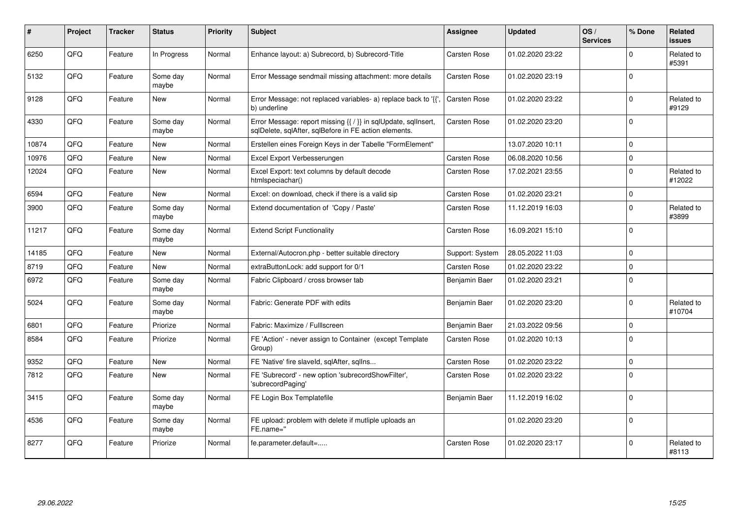| #     | Project | <b>Tracker</b> | <b>Status</b>     | <b>Priority</b> | <b>Subject</b>                                                                                                          | Assignee            | <b>Updated</b>   | OS/<br><b>Services</b> | % Done       | Related<br><b>issues</b> |
|-------|---------|----------------|-------------------|-----------------|-------------------------------------------------------------------------------------------------------------------------|---------------------|------------------|------------------------|--------------|--------------------------|
| 6250  | QFQ     | Feature        | In Progress       | Normal          | Enhance layout: a) Subrecord, b) Subrecord-Title                                                                        | Carsten Rose        | 01.02.2020 23:22 |                        | <sup>0</sup> | Related to<br>#5391      |
| 5132  | QFQ     | Feature        | Some day<br>maybe | Normal          | Error Message sendmail missing attachment: more details                                                                 | <b>Carsten Rose</b> | 01.02.2020 23:19 |                        | $\Omega$     |                          |
| 9128  | QFQ     | Feature        | New               | Normal          | Error Message: not replaced variables- a) replace back to '{',<br>b) underline                                          | Carsten Rose        | 01.02.2020 23:22 |                        | $\Omega$     | Related to<br>#9129      |
| 4330  | QFQ     | Feature        | Some day<br>maybe | Normal          | Error Message: report missing {{ / }} in sqlUpdate, sqlInsert,<br>sqlDelete, sqlAfter, sqlBefore in FE action elements. | <b>Carsten Rose</b> | 01.02.2020 23:20 |                        | $\Omega$     |                          |
| 10874 | QFQ     | Feature        | <b>New</b>        | Normal          | Erstellen eines Foreign Keys in der Tabelle "FormElement"                                                               |                     | 13.07.2020 10:11 |                        | $\Omega$     |                          |
| 10976 | QFQ     | Feature        | <b>New</b>        | Normal          | Excel Export Verbesserungen                                                                                             | <b>Carsten Rose</b> | 06.08.2020 10:56 |                        | $\Omega$     |                          |
| 12024 | QFQ     | Feature        | New               | Normal          | Excel Export: text columns by default decode<br>htmlspeciachar()                                                        | Carsten Rose        | 17.02.2021 23:55 |                        | $\Omega$     | Related to<br>#12022     |
| 6594  | QFQ     | Feature        | <b>New</b>        | Normal          | Excel: on download, check if there is a valid sip                                                                       | Carsten Rose        | 01.02.2020 23:21 |                        | $\Omega$     |                          |
| 3900  | QFQ     | Feature        | Some day<br>maybe | Normal          | Extend documentation of 'Copy / Paste'                                                                                  | Carsten Rose        | 11.12.2019 16:03 |                        | $\Omega$     | Related to<br>#3899      |
| 11217 | QFQ     | Feature        | Some day<br>maybe | Normal          | <b>Extend Script Functionality</b>                                                                                      | Carsten Rose        | 16.09.2021 15:10 |                        | $\Omega$     |                          |
| 14185 | QFQ     | Feature        | New               | Normal          | External/Autocron.php - better suitable directory                                                                       | Support: System     | 28.05.2022 11:03 |                        | $\Omega$     |                          |
| 8719  | QFQ     | Feature        | <b>New</b>        | Normal          | extraButtonLock: add support for 0/1                                                                                    | <b>Carsten Rose</b> | 01.02.2020 23:22 |                        | $\Omega$     |                          |
| 6972  | QFQ     | Feature        | Some day<br>maybe | Normal          | Fabric Clipboard / cross browser tab                                                                                    | Benjamin Baer       | 01.02.2020 23:21 |                        | $\Omega$     |                          |
| 5024  | QFQ     | Feature        | Some day<br>maybe | Normal          | Fabric: Generate PDF with edits                                                                                         | Benjamin Baer       | 01.02.2020 23:20 |                        | $\Omega$     | Related to<br>#10704     |
| 6801  | QFQ     | Feature        | Priorize          | Normal          | Fabric: Maximize / Fulllscreen                                                                                          | Benjamin Baer       | 21.03.2022 09:56 |                        | $\Omega$     |                          |
| 8584  | QFQ     | Feature        | Priorize          | Normal          | FE 'Action' - never assign to Container (except Template<br>Group)                                                      | Carsten Rose        | 01.02.2020 10:13 |                        | $\Omega$     |                          |
| 9352  | QFQ     | Feature        | <b>New</b>        | Normal          | FE 'Native' fire slaveld, sqlAfter, sqllns                                                                              | <b>Carsten Rose</b> | 01.02.2020 23:22 |                        | $\mathbf 0$  |                          |
| 7812  | QFQ     | Feature        | <b>New</b>        | Normal          | FE 'Subrecord' - new option 'subrecordShowFilter',<br>'subrecordPaging'                                                 | Carsten Rose        | 01.02.2020 23:22 |                        | $\Omega$     |                          |
| 3415  | QFQ     | Feature        | Some day<br>maybe | Normal          | FE Login Box Templatefile                                                                                               | Benjamin Baer       | 11.12.2019 16:02 |                        | $\Omega$     |                          |
| 4536  | QFQ     | Feature        | Some day<br>maybe | Normal          | FE upload: problem with delete if mutliple uploads an<br>FE.name="                                                      |                     | 01.02.2020 23:20 |                        | $\Omega$     |                          |
| 8277  | QFQ     | Feature        | Priorize          | Normal          | fe.parameter.default=                                                                                                   | Carsten Rose        | 01.02.2020 23:17 |                        | $\Omega$     | Related to<br>#8113      |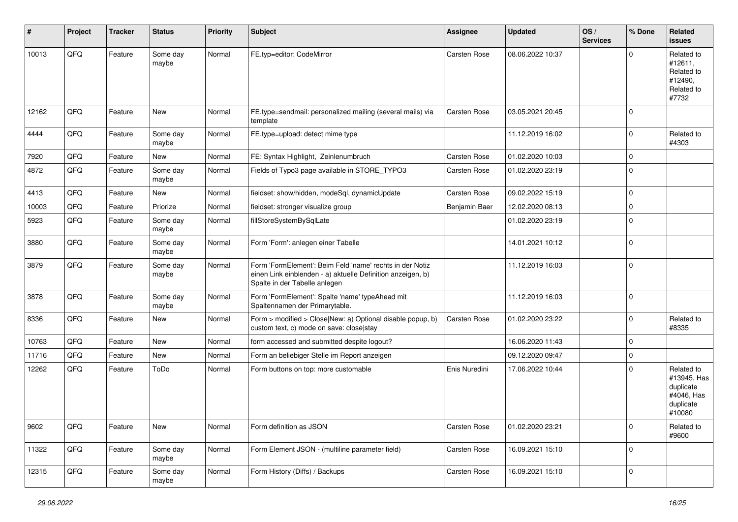| #     | Project | <b>Tracker</b> | <b>Status</b>     | <b>Priority</b> | <b>Subject</b>                                                                                                                                           | <b>Assignee</b> | <b>Updated</b>   | OS/<br><b>Services</b> | % Done      | Related<br>issues                                                           |
|-------|---------|----------------|-------------------|-----------------|----------------------------------------------------------------------------------------------------------------------------------------------------------|-----------------|------------------|------------------------|-------------|-----------------------------------------------------------------------------|
| 10013 | QFQ     | Feature        | Some day<br>maybe | Normal          | FE.typ=editor: CodeMirror                                                                                                                                | Carsten Rose    | 08.06.2022 10:37 |                        | $\Omega$    | Related to<br>#12611,<br>Related to<br>#12490,<br>Related to<br>#7732       |
| 12162 | QFQ     | Feature        | New               | Normal          | FE.type=sendmail: personalized mailing (several mails) via<br>template                                                                                   | Carsten Rose    | 03.05.2021 20:45 |                        | $\Omega$    |                                                                             |
| 4444  | QFQ     | Feature        | Some day<br>maybe | Normal          | FE.type=upload: detect mime type                                                                                                                         |                 | 11.12.2019 16:02 |                        | $\mathbf 0$ | Related to<br>#4303                                                         |
| 7920  | QFQ     | Feature        | New               | Normal          | FE: Syntax Highlight, Zeinlenumbruch                                                                                                                     | Carsten Rose    | 01.02.2020 10:03 |                        | $\Omega$    |                                                                             |
| 4872  | QFQ     | Feature        | Some day<br>maybe | Normal          | Fields of Typo3 page available in STORE_TYPO3                                                                                                            | Carsten Rose    | 01.02.2020 23:19 |                        | $\mathbf 0$ |                                                                             |
| 4413  | QFQ     | Feature        | New               | Normal          | fieldset: show/hidden, modeSql, dynamicUpdate                                                                                                            | Carsten Rose    | 09.02.2022 15:19 |                        | 0           |                                                                             |
| 10003 | QFQ     | Feature        | Priorize          | Normal          | fieldset: stronger visualize group                                                                                                                       | Benjamin Baer   | 12.02.2020 08:13 |                        | 0           |                                                                             |
| 5923  | QFQ     | Feature        | Some day<br>maybe | Normal          | fillStoreSystemBySqlLate                                                                                                                                 |                 | 01.02.2020 23:19 |                        | $\mathbf 0$ |                                                                             |
| 3880  | QFQ     | Feature        | Some day<br>maybe | Normal          | Form 'Form': anlegen einer Tabelle                                                                                                                       |                 | 14.01.2021 10:12 |                        | $\mathbf 0$ |                                                                             |
| 3879  | QFQ     | Feature        | Some day<br>maybe | Normal          | Form 'FormElement': Beim Feld 'name' rechts in der Notiz<br>einen Link einblenden - a) aktuelle Definition anzeigen, b)<br>Spalte in der Tabelle anlegen |                 | 11.12.2019 16:03 |                        | $\mathbf 0$ |                                                                             |
| 3878  | QFQ     | Feature        | Some day<br>maybe | Normal          | Form 'FormElement': Spalte 'name' typeAhead mit<br>Spaltennamen der Primarytable.                                                                        |                 | 11.12.2019 16:03 |                        | 0           |                                                                             |
| 8336  | QFQ     | Feature        | New               | Normal          | Form > modified > Close New: a) Optional disable popup, b)<br>custom text, c) mode on save: close stay                                                   | Carsten Rose    | 01.02.2020 23:22 |                        | $\Omega$    | Related to<br>#8335                                                         |
| 10763 | QFQ     | Feature        | New               | Normal          | form accessed and submitted despite logout?                                                                                                              |                 | 16.06.2020 11:43 |                        | $\mathbf 0$ |                                                                             |
| 11716 | QFQ     | Feature        | New               | Normal          | Form an beliebiger Stelle im Report anzeigen                                                                                                             |                 | 09.12.2020 09:47 |                        | $\mathbf 0$ |                                                                             |
| 12262 | QFQ     | Feature        | ToDo              | Normal          | Form buttons on top: more customable                                                                                                                     | Enis Nuredini   | 17.06.2022 10:44 |                        | $\Omega$    | Related to<br>#13945, Has<br>duplicate<br>#4046, Has<br>duplicate<br>#10080 |
| 9602  | QFQ     | Feature        | New               | Normal          | Form definition as JSON                                                                                                                                  | Carsten Rose    | 01.02.2020 23:21 |                        | $\mathbf 0$ | Related to<br>#9600                                                         |
| 11322 | QFQ     | Feature        | Some day<br>maybe | Normal          | Form Element JSON - (multiline parameter field)                                                                                                          | Carsten Rose    | 16.09.2021 15:10 |                        | 0           |                                                                             |
| 12315 | QFQ     | Feature        | Some day<br>maybe | Normal          | Form History (Diffs) / Backups                                                                                                                           | Carsten Rose    | 16.09.2021 15:10 |                        | $\mathbf 0$ |                                                                             |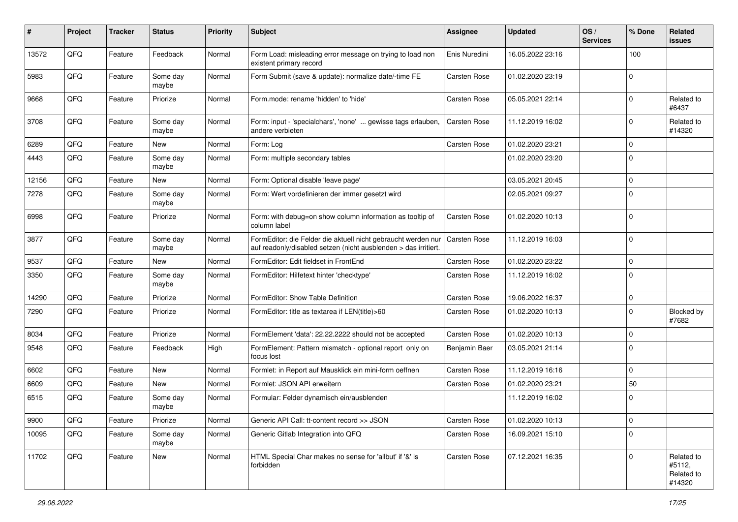| #     | Project | <b>Tracker</b> | <b>Status</b>     | <b>Priority</b> | <b>Subject</b>                                                                                                                   | <b>Assignee</b>     | <b>Updated</b>   | OS/<br><b>Services</b> | % Done      | Related<br>issues                            |
|-------|---------|----------------|-------------------|-----------------|----------------------------------------------------------------------------------------------------------------------------------|---------------------|------------------|------------------------|-------------|----------------------------------------------|
| 13572 | QFQ     | Feature        | Feedback          | Normal          | Form Load: misleading error message on trying to load non<br>existent primary record                                             | Enis Nuredini       | 16.05.2022 23:16 |                        | 100         |                                              |
| 5983  | QFQ     | Feature        | Some day<br>maybe | Normal          | Form Submit (save & update): normalize date/-time FE                                                                             | Carsten Rose        | 01.02.2020 23:19 |                        | $\mathbf 0$ |                                              |
| 9668  | QFQ     | Feature        | Priorize          | Normal          | Form.mode: rename 'hidden' to 'hide'                                                                                             | Carsten Rose        | 05.05.2021 22:14 |                        | 0           | Related to<br>#6437                          |
| 3708  | QFQ     | Feature        | Some day<br>maybe | Normal          | Form: input - 'specialchars', 'none'  gewisse tags erlauben,<br>andere verbieten                                                 | <b>Carsten Rose</b> | 11.12.2019 16:02 |                        | 0           | Related to<br>#14320                         |
| 6289  | QFQ     | Feature        | <b>New</b>        | Normal          | Form: Log                                                                                                                        | Carsten Rose        | 01.02.2020 23:21 |                        | $\mathbf 0$ |                                              |
| 4443  | QFQ     | Feature        | Some day<br>maybe | Normal          | Form: multiple secondary tables                                                                                                  |                     | 01.02.2020 23:20 |                        | $\Omega$    |                                              |
| 12156 | QFQ     | Feature        | <b>New</b>        | Normal          | Form: Optional disable 'leave page'                                                                                              |                     | 03.05.2021 20:45 |                        | $\mathbf 0$ |                                              |
| 7278  | QFQ     | Feature        | Some day<br>maybe | Normal          | Form: Wert vordefinieren der immer gesetzt wird                                                                                  |                     | 02.05.2021 09:27 |                        | $\Omega$    |                                              |
| 6998  | QFQ     | Feature        | Priorize          | Normal          | Form: with debug=on show column information as tooltip of<br>column label                                                        | Carsten Rose        | 01.02.2020 10:13 |                        | $\Omega$    |                                              |
| 3877  | QFQ     | Feature        | Some day<br>maybe | Normal          | FormEditor: die Felder die aktuell nicht gebraucht werden nur<br>auf readonly/disabled setzen (nicht ausblenden > das irritiert. | Carsten Rose        | 11.12.2019 16:03 |                        | $\Omega$    |                                              |
| 9537  | QFQ     | Feature        | New               | Normal          | FormEditor: Edit fieldset in FrontEnd                                                                                            | Carsten Rose        | 01.02.2020 23:22 |                        | $\Omega$    |                                              |
| 3350  | QFQ     | Feature        | Some day<br>maybe | Normal          | FormEditor: Hilfetext hinter 'checktype'                                                                                         | Carsten Rose        | 11.12.2019 16:02 |                        | $\mathbf 0$ |                                              |
| 14290 | QFQ     | Feature        | Priorize          | Normal          | FormEditor: Show Table Definition                                                                                                | Carsten Rose        | 19.06.2022 16:37 |                        | $\mathbf 0$ |                                              |
| 7290  | QFQ     | Feature        | Priorize          | Normal          | FormEditor: title as textarea if LEN(title)>60                                                                                   | Carsten Rose        | 01.02.2020 10:13 |                        | $\Omega$    | Blocked by<br>#7682                          |
| 8034  | QFQ     | Feature        | Priorize          | Normal          | FormElement 'data': 22.22.2222 should not be accepted                                                                            | Carsten Rose        | 01.02.2020 10:13 |                        | $\Omega$    |                                              |
| 9548  | QFQ     | Feature        | Feedback          | High            | FormElement: Pattern mismatch - optional report only on<br>focus lost                                                            | Benjamin Baer       | 03.05.2021 21:14 |                        | $\mathbf 0$ |                                              |
| 6602  | QFQ     | Feature        | <b>New</b>        | Normal          | Formlet: in Report auf Mausklick ein mini-form oeffnen                                                                           | Carsten Rose        | 11.12.2019 16:16 |                        | 0           |                                              |
| 6609  | QFQ     | Feature        | New               | Normal          | Formlet: JSON API erweitern                                                                                                      | Carsten Rose        | 01.02.2020 23:21 |                        | 50          |                                              |
| 6515  | QFQ     | Feature        | Some day<br>maybe | Normal          | Formular: Felder dynamisch ein/ausblenden                                                                                        |                     | 11.12.2019 16:02 |                        | $\mathbf 0$ |                                              |
| 9900  | QFQ     | Feature        | Priorize          | Normal          | Generic API Call: tt-content record >> JSON                                                                                      | Carsten Rose        | 01.02.2020 10:13 |                        | l 0         |                                              |
| 10095 | QFQ     | Feature        | Some day<br>maybe | Normal          | Generic Gitlab Integration into QFQ                                                                                              | Carsten Rose        | 16.09.2021 15:10 |                        | 0           |                                              |
| 11702 | QFQ     | Feature        | New               | Normal          | HTML Special Char makes no sense for 'allbut' if '&' is<br>forbidden                                                             | Carsten Rose        | 07.12.2021 16:35 |                        | $\Omega$    | Related to<br>#5112,<br>Related to<br>#14320 |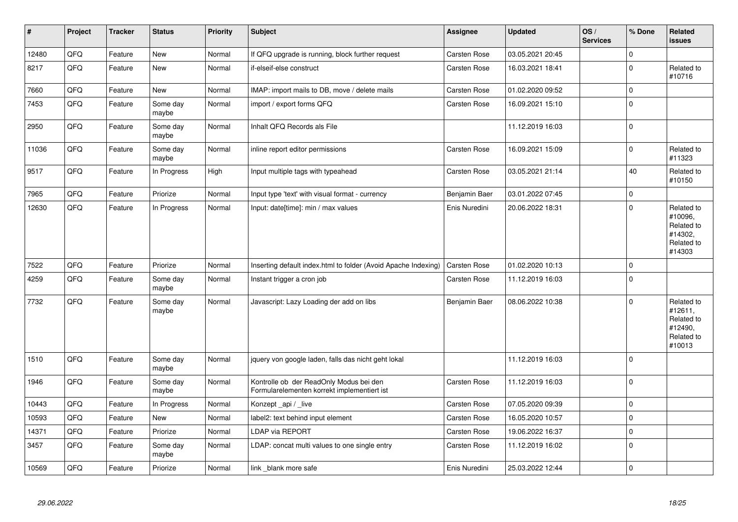| $\vert$ # | Project | <b>Tracker</b> | <b>Status</b>     | <b>Priority</b> | <b>Subject</b>                                                                         | <b>Assignee</b>     | <b>Updated</b>   | OS/<br><b>Services</b> | % Done      | Related<br><b>issues</b>                                               |
|-----------|---------|----------------|-------------------|-----------------|----------------------------------------------------------------------------------------|---------------------|------------------|------------------------|-------------|------------------------------------------------------------------------|
| 12480     | QFQ     | Feature        | <b>New</b>        | Normal          | If QFQ upgrade is running, block further request                                       | <b>Carsten Rose</b> | 03.05.2021 20:45 |                        | $\Omega$    |                                                                        |
| 8217      | QFQ     | Feature        | New               | Normal          | if-elseif-else construct                                                               | Carsten Rose        | 16.03.2021 18:41 |                        | $\mathbf 0$ | Related to<br>#10716                                                   |
| 7660      | QFQ     | Feature        | New               | Normal          | IMAP: import mails to DB, move / delete mails                                          | Carsten Rose        | 01.02.2020 09:52 |                        | $\mathbf 0$ |                                                                        |
| 7453      | QFQ     | Feature        | Some day<br>maybe | Normal          | import / export forms QFQ                                                              | Carsten Rose        | 16.09.2021 15:10 |                        | $\mathbf 0$ |                                                                        |
| 2950      | QFQ     | Feature        | Some day<br>maybe | Normal          | Inhalt QFQ Records als File                                                            |                     | 11.12.2019 16:03 |                        | $\mathbf 0$ |                                                                        |
| 11036     | QFQ     | Feature        | Some day<br>maybe | Normal          | inline report editor permissions                                                       | Carsten Rose        | 16.09.2021 15:09 |                        | $\mathbf 0$ | Related to<br>#11323                                                   |
| 9517      | QFQ     | Feature        | In Progress       | High            | Input multiple tags with typeahead                                                     | Carsten Rose        | 03.05.2021 21:14 |                        | 40          | Related to<br>#10150                                                   |
| 7965      | QFQ     | Feature        | Priorize          | Normal          | Input type 'text' with visual format - currency                                        | Benjamin Baer       | 03.01.2022 07:45 |                        | $\pmb{0}$   |                                                                        |
| 12630     | QFQ     | Feature        | In Progress       | Normal          | Input: date[time]: min / max values                                                    | Enis Nuredini       | 20.06.2022 18:31 |                        | $\mathbf 0$ | Related to<br>#10096,<br>Related to<br>#14302,<br>Related to<br>#14303 |
| 7522      | QFQ     | Feature        | Priorize          | Normal          | Inserting default index.html to folder (Avoid Apache Indexing)                         | Carsten Rose        | 01.02.2020 10:13 |                        | $\mathbf 0$ |                                                                        |
| 4259      | QFQ     | Feature        | Some day<br>maybe | Normal          | Instant trigger a cron job                                                             | Carsten Rose        | 11.12.2019 16:03 |                        | $\mathbf 0$ |                                                                        |
| 7732      | QFQ     | Feature        | Some day<br>maybe | Normal          | Javascript: Lazy Loading der add on libs                                               | Benjamin Baer       | 08.06.2022 10:38 |                        | $\Omega$    | Related to<br>#12611,<br>Related to<br>#12490,<br>Related to<br>#10013 |
| 1510      | QFQ     | Feature        | Some day<br>maybe | Normal          | jquery von google laden, falls das nicht geht lokal                                    |                     | 11.12.2019 16:03 |                        | $\Omega$    |                                                                        |
| 1946      | QFQ     | Feature        | Some day<br>maybe | Normal          | Kontrolle ob der ReadOnly Modus bei den<br>Formularelementen korrekt implementiert ist | <b>Carsten Rose</b> | 11.12.2019 16:03 |                        | $\mathbf 0$ |                                                                        |
| 10443     | QFQ     | Feature        | In Progress       | Normal          | Konzept api / live                                                                     | <b>Carsten Rose</b> | 07.05.2020 09:39 |                        | $\mathbf 0$ |                                                                        |
| 10593     | QFQ     | Feature        | <b>New</b>        | Normal          | label2: text behind input element                                                      | Carsten Rose        | 16.05.2020 10:57 |                        | $\mathbf 0$ |                                                                        |
| 14371     | QFQ     | Feature        | Priorize          | Normal          | LDAP via REPORT                                                                        | Carsten Rose        | 19.06.2022 16:37 |                        | $\pmb{0}$   |                                                                        |
| 3457      | QFQ     | Feature        | Some day<br>maybe | Normal          | LDAP: concat multi values to one single entry                                          | Carsten Rose        | 11.12.2019 16:02 |                        | $\mathbf 0$ |                                                                        |
| 10569     | QFQ     | Feature        | Priorize          | Normal          | link blank more safe                                                                   | Enis Nuredini       | 25.03.2022 12:44 |                        | $\pmb{0}$   |                                                                        |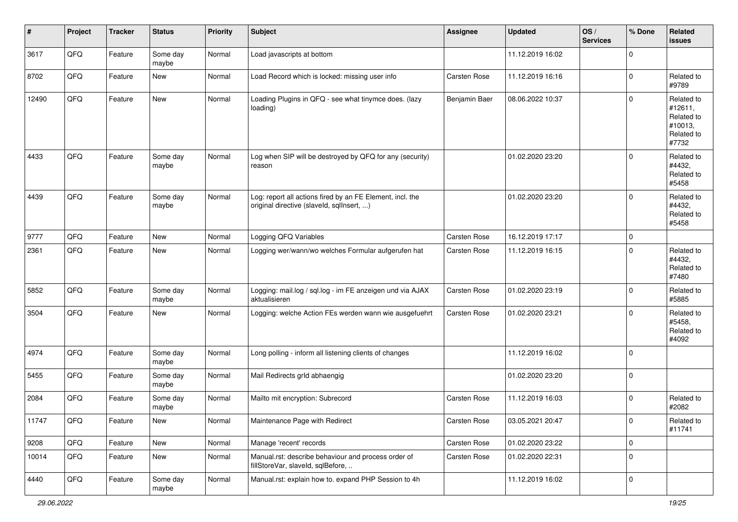| #     | Project | <b>Tracker</b> | <b>Status</b>     | <b>Priority</b> | <b>Subject</b>                                                                                         | <b>Assignee</b> | <b>Updated</b>   | OS/<br><b>Services</b> | % Done              | Related<br><b>issues</b>                                              |
|-------|---------|----------------|-------------------|-----------------|--------------------------------------------------------------------------------------------------------|-----------------|------------------|------------------------|---------------------|-----------------------------------------------------------------------|
| 3617  | QFQ     | Feature        | Some day<br>maybe | Normal          | Load javascripts at bottom                                                                             |                 | 11.12.2019 16:02 |                        | $\mathbf 0$         |                                                                       |
| 8702  | QFQ     | Feature        | <b>New</b>        | Normal          | Load Record which is locked: missing user info                                                         | Carsten Rose    | 11.12.2019 16:16 |                        | $\mathbf 0$         | Related to<br>#9789                                                   |
| 12490 | QFQ     | Feature        | <b>New</b>        | Normal          | Loading Plugins in QFQ - see what tinymce does. (lazy<br>loading)                                      | Benjamin Baer   | 08.06.2022 10:37 |                        | $\mathbf 0$         | Related to<br>#12611,<br>Related to<br>#10013,<br>Related to<br>#7732 |
| 4433  | QFQ     | Feature        | Some day<br>maybe | Normal          | Log when SIP will be destroyed by QFQ for any (security)<br>reason                                     |                 | 01.02.2020 23:20 |                        | $\mathbf 0$         | Related to<br>#4432,<br>Related to<br>#5458                           |
| 4439  | QFQ     | Feature        | Some day<br>maybe | Normal          | Log: report all actions fired by an FE Element, incl. the<br>original directive (slaveld, sqlInsert, ) |                 | 01.02.2020 23:20 |                        | $\mathbf 0$         | Related to<br>#4432,<br>Related to<br>#5458                           |
| 9777  | QFQ     | Feature        | <b>New</b>        | Normal          | Logging QFQ Variables                                                                                  | Carsten Rose    | 16.12.2019 17:17 |                        | $\mathbf 0$         |                                                                       |
| 2361  | QFQ     | Feature        | New               | Normal          | Logging wer/wann/wo welches Formular aufgerufen hat                                                    | Carsten Rose    | 11.12.2019 16:15 |                        | $\mathbf 0$         | Related to<br>#4432,<br>Related to<br>#7480                           |
| 5852  | QFQ     | Feature        | Some day<br>maybe | Normal          | Logging: mail.log / sql.log - im FE anzeigen und via AJAX<br>aktualisieren                             | Carsten Rose    | 01.02.2020 23:19 |                        | $\mathbf 0$         | Related to<br>#5885                                                   |
| 3504  | QFQ     | Feature        | <b>New</b>        | Normal          | Logging: welche Action FEs werden wann wie ausgefuehrt                                                 | Carsten Rose    | 01.02.2020 23:21 |                        | $\mathbf 0$         | Related to<br>#5458,<br>Related to<br>#4092                           |
| 4974  | QFQ     | Feature        | Some day<br>maybe | Normal          | Long polling - inform all listening clients of changes                                                 |                 | 11.12.2019 16:02 |                        | $\mathbf 0$         |                                                                       |
| 5455  | QFQ     | Feature        | Some day<br>maybe | Normal          | Mail Redirects grld abhaengig                                                                          |                 | 01.02.2020 23:20 |                        | $\mathbf 0$         |                                                                       |
| 2084  | QFQ     | Feature        | Some day<br>maybe | Normal          | Mailto mit encryption: Subrecord                                                                       | Carsten Rose    | 11.12.2019 16:03 |                        | $\mathbf 0$         | Related to<br>#2082                                                   |
| 11747 | QFQ     | Feature        | New               | Normal          | Maintenance Page with Redirect                                                                         | Carsten Rose    | 03.05.2021 20:47 |                        | 0                   | Related to<br>#11741                                                  |
| 9208  | QFQ     | Feature        | New               | Normal          | Manage 'recent' records                                                                                | Carsten Rose    | 01.02.2020 23:22 |                        | $\mathsf{O}\xspace$ |                                                                       |
| 10014 | QFQ     | Feature        | New               | Normal          | Manual.rst: describe behaviour and process order of<br>fillStoreVar, slaveId, sqlBefore,               | Carsten Rose    | 01.02.2020 22:31 |                        | $\mathbf 0$         |                                                                       |
| 4440  | QFQ     | Feature        | Some day<br>maybe | Normal          | Manual.rst: explain how to. expand PHP Session to 4h                                                   |                 | 11.12.2019 16:02 |                        | $\pmb{0}$           |                                                                       |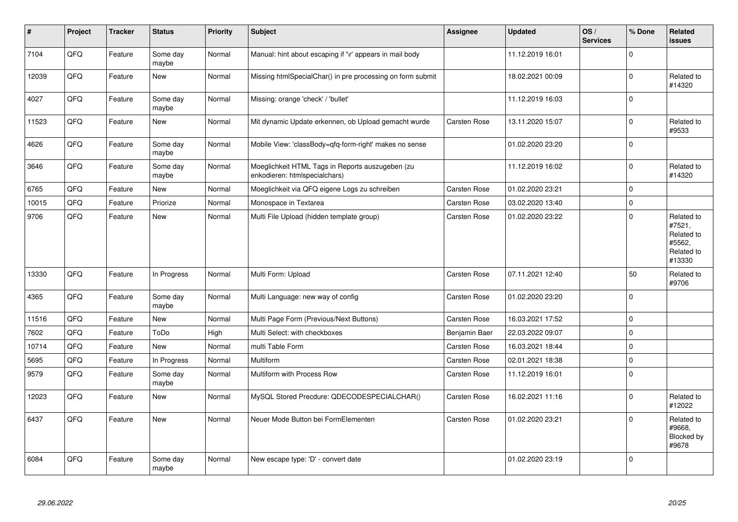| #     | Project | <b>Tracker</b> | <b>Status</b>     | <b>Priority</b> | <b>Subject</b>                                                                    | <b>Assignee</b>     | <b>Updated</b>   | OS/<br><b>Services</b> | % Done         | Related<br><b>issues</b>                                             |
|-------|---------|----------------|-------------------|-----------------|-----------------------------------------------------------------------------------|---------------------|------------------|------------------------|----------------|----------------------------------------------------------------------|
| 7104  | QFQ     | Feature        | Some day<br>maybe | Normal          | Manual: hint about escaping if '\r' appears in mail body                          |                     | 11.12.2019 16:01 |                        | $\Omega$       |                                                                      |
| 12039 | QFQ     | Feature        | <b>New</b>        | Normal          | Missing htmlSpecialChar() in pre processing on form submit                        |                     | 18.02.2021 00:09 |                        | $\mathbf 0$    | Related to<br>#14320                                                 |
| 4027  | QFQ     | Feature        | Some day<br>maybe | Normal          | Missing: orange 'check' / 'bullet'                                                |                     | 11.12.2019 16:03 |                        | $\Omega$       |                                                                      |
| 11523 | QFQ     | Feature        | <b>New</b>        | Normal          | Mit dynamic Update erkennen, ob Upload gemacht wurde                              | Carsten Rose        | 13.11.2020 15:07 |                        | $\Omega$       | Related to<br>#9533                                                  |
| 4626  | QFQ     | Feature        | Some day<br>maybe | Normal          | Mobile View: 'classBody=qfq-form-right' makes no sense                            |                     | 01.02.2020 23:20 |                        | $\Omega$       |                                                                      |
| 3646  | QFQ     | Feature        | Some day<br>maybe | Normal          | Moeglichkeit HTML Tags in Reports auszugeben (zu<br>enkodieren: htmlspecialchars) |                     | 11.12.2019 16:02 |                        | $\Omega$       | Related to<br>#14320                                                 |
| 6765  | QFQ     | Feature        | <b>New</b>        | Normal          | Moeglichkeit via QFQ eigene Logs zu schreiben                                     | Carsten Rose        | 01.02.2020 23:21 |                        | $\Omega$       |                                                                      |
| 10015 | QFQ     | Feature        | Priorize          | Normal          | Monospace in Textarea                                                             | <b>Carsten Rose</b> | 03.02.2020 13:40 |                        | $\Omega$       |                                                                      |
| 9706  | QFQ     | Feature        | <b>New</b>        | Normal          | Multi File Upload (hidden template group)                                         | Carsten Rose        | 01.02.2020 23:22 |                        | $\Omega$       | Related to<br>#7521,<br>Related to<br>#5562.<br>Related to<br>#13330 |
| 13330 | QFQ     | Feature        | In Progress       | Normal          | Multi Form: Upload                                                                | Carsten Rose        | 07.11.2021 12:40 |                        | 50             | Related to<br>#9706                                                  |
| 4365  | QFQ     | Feature        | Some day<br>maybe | Normal          | Multi Language: new way of config                                                 | Carsten Rose        | 01.02.2020 23:20 |                        | $\Omega$       |                                                                      |
| 11516 | QFQ     | Feature        | <b>New</b>        | Normal          | Multi Page Form (Previous/Next Buttons)                                           | Carsten Rose        | 16.03.2021 17:52 |                        | $\Omega$       |                                                                      |
| 7602  | QFQ     | Feature        | ToDo              | High            | Multi Select: with checkboxes                                                     | Benjamin Baer       | 22.03.2022 09:07 |                        | $\Omega$       |                                                                      |
| 10714 | QFQ     | Feature        | <b>New</b>        | Normal          | multi Table Form                                                                  | Carsten Rose        | 16.03.2021 18:44 |                        | $\mathbf 0$    |                                                                      |
| 5695  | QFQ     | Feature        | In Progress       | Normal          | <b>Multiform</b>                                                                  | Carsten Rose        | 02.01.2021 18:38 |                        | $\mathbf 0$    |                                                                      |
| 9579  | QFQ     | Feature        | Some day<br>maybe | Normal          | Multiform with Process Row                                                        | Carsten Rose        | 11.12.2019 16:01 |                        | $\Omega$       |                                                                      |
| 12023 | QFQ     | Feature        | New               | Normal          | MySQL Stored Precdure: QDECODESPECIALCHAR()                                       | Carsten Rose        | 16.02.2021 11:16 |                        | $\Omega$       | Related to<br>#12022                                                 |
| 6437  | QFQ     | Feature        | <b>New</b>        | Normal          | Neuer Mode Button bei FormElementen                                               | <b>Carsten Rose</b> | 01.02.2020 23:21 |                        | $\overline{0}$ | Related to<br>#9668.<br>Blocked by<br>#9678                          |
| 6084  | QFQ     | Feature        | Some day<br>maybe | Normal          | New escape type: 'D' - convert date                                               |                     | 01.02.2020 23:19 |                        | $\Omega$       |                                                                      |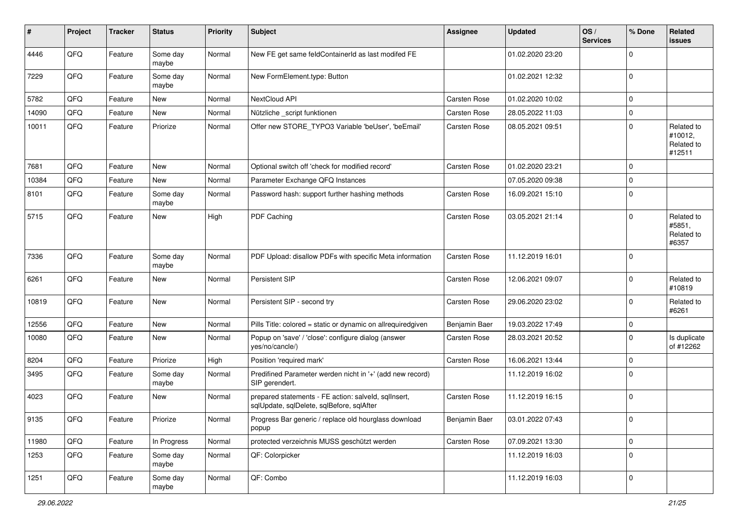| #     | Project | <b>Tracker</b> | <b>Status</b>     | <b>Priority</b> | <b>Subject</b>                                                                                    | <b>Assignee</b> | <b>Updated</b>   | OS/<br><b>Services</b> | % Done      | Related<br>issues                             |
|-------|---------|----------------|-------------------|-----------------|---------------------------------------------------------------------------------------------------|-----------------|------------------|------------------------|-------------|-----------------------------------------------|
| 4446  | QFQ     | Feature        | Some day<br>maybe | Normal          | New FE get same feldContainerId as last modifed FE                                                |                 | 01.02.2020 23:20 |                        | $\Omega$    |                                               |
| 7229  | QFQ     | Feature        | Some day<br>maybe | Normal          | New FormElement.type: Button                                                                      |                 | 01.02.2021 12:32 |                        | $\Omega$    |                                               |
| 5782  | QFQ     | Feature        | New               | Normal          | NextCloud API                                                                                     | Carsten Rose    | 01.02.2020 10:02 |                        | $\Omega$    |                                               |
| 14090 | QFQ     | Feature        | <b>New</b>        | Normal          | Nützliche _script funktionen                                                                      | Carsten Rose    | 28.05.2022 11:03 |                        | $\Omega$    |                                               |
| 10011 | QFQ     | Feature        | Priorize          | Normal          | Offer new STORE_TYPO3 Variable 'beUser', 'beEmail'                                                | Carsten Rose    | 08.05.2021 09:51 |                        | $\Omega$    | Related to<br>#10012,<br>Related to<br>#12511 |
| 7681  | QFQ     | Feature        | <b>New</b>        | Normal          | Optional switch off 'check for modified record'                                                   | Carsten Rose    | 01.02.2020 23:21 |                        | $\Omega$    |                                               |
| 10384 | QFQ     | Feature        | <b>New</b>        | Normal          | Parameter Exchange QFQ Instances                                                                  |                 | 07.05.2020 09:38 |                        | $\Omega$    |                                               |
| 8101  | QFQ     | Feature        | Some day<br>maybe | Normal          | Password hash: support further hashing methods                                                    | Carsten Rose    | 16.09.2021 15:10 |                        | $\Omega$    |                                               |
| 5715  | QFQ     | Feature        | New               | High            | PDF Caching                                                                                       | Carsten Rose    | 03.05.2021 21:14 |                        | $\Omega$    | Related to<br>#5851,<br>Related to<br>#6357   |
| 7336  | QFQ     | Feature        | Some day<br>maybe | Normal          | PDF Upload: disallow PDFs with specific Meta information                                          | Carsten Rose    | 11.12.2019 16:01 |                        | $\Omega$    |                                               |
| 6261  | QFQ     | Feature        | <b>New</b>        | Normal          | Persistent SIP                                                                                    | Carsten Rose    | 12.06.2021 09:07 |                        | $\Omega$    | Related to<br>#10819                          |
| 10819 | QFQ     | Feature        | <b>New</b>        | Normal          | Persistent SIP - second try                                                                       | Carsten Rose    | 29.06.2020 23:02 |                        | $\Omega$    | Related to<br>#6261                           |
| 12556 | QFQ     | Feature        | <b>New</b>        | Normal          | Pills Title: colored = static or dynamic on allrequiredgiven                                      | Benjamin Baer   | 19.03.2022 17:49 |                        | $\Omega$    |                                               |
| 10080 | QFQ     | Feature        | <b>New</b>        | Normal          | Popup on 'save' / 'close': configure dialog (answer<br>yes/no/cancle/)                            | Carsten Rose    | 28.03.2021 20:52 |                        | $\Omega$    | Is duplicate<br>of #12262                     |
| 8204  | QFQ     | Feature        | Priorize          | High            | Position 'required mark'                                                                          | Carsten Rose    | 16.06.2021 13:44 |                        | $\Omega$    |                                               |
| 3495  | QFQ     | Feature        | Some day<br>maybe | Normal          | Predifined Parameter werden nicht in '+' (add new record)<br>SIP gerendert.                       |                 | 11.12.2019 16:02 |                        | $\Omega$    |                                               |
| 4023  | QFQ     | Feature        | New               | Normal          | prepared statements - FE action: salveld, sqllnsert,<br>sqlUpdate, sqlDelete, sqlBefore, sqlAfter | Carsten Rose    | 11.12.2019 16:15 |                        | $\mathbf 0$ |                                               |
| 9135  | QFQ     | Feature        | Priorize          | Normal          | Progress Bar generic / replace old hourglass download<br>popup                                    | Benjamin Baer   | 03.01.2022 07:43 |                        | O           |                                               |
| 11980 | QFQ     | Feature        | In Progress       | Normal          | protected verzeichnis MUSS geschützt werden                                                       | Carsten Rose    | 07.09.2021 13:30 |                        | 0           |                                               |
| 1253  | QFQ     | Feature        | Some day<br>maybe | Normal          | QF: Colorpicker                                                                                   |                 | 11.12.2019 16:03 |                        | $\mathbf 0$ |                                               |
| 1251  | QFQ     | Feature        | Some day<br>maybe | Normal          | QF: Combo                                                                                         |                 | 11.12.2019 16:03 |                        | $\mathbf 0$ |                                               |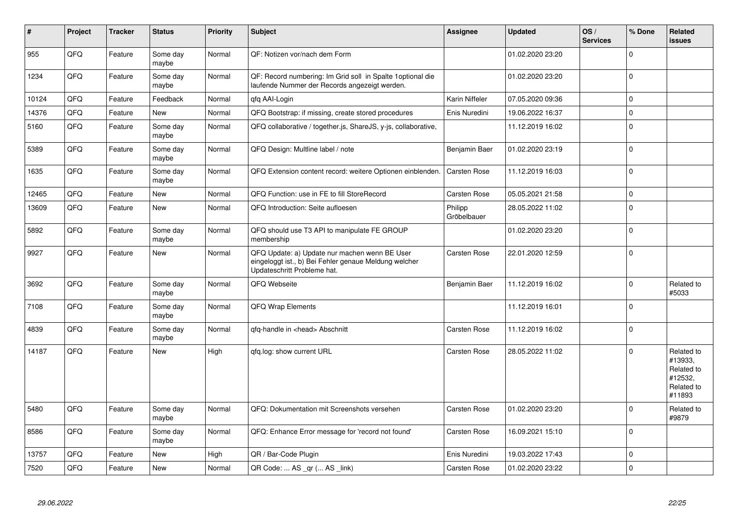| $\vert$ # | Project | <b>Tracker</b> | <b>Status</b>     | <b>Priority</b> | <b>Subject</b>                                                                                                                        | Assignee               | <b>Updated</b>   | OS/<br><b>Services</b> | % Done      | Related<br><b>issues</b>                                               |
|-----------|---------|----------------|-------------------|-----------------|---------------------------------------------------------------------------------------------------------------------------------------|------------------------|------------------|------------------------|-------------|------------------------------------------------------------------------|
| 955       | QFQ     | Feature        | Some day<br>maybe | Normal          | QF: Notizen vor/nach dem Form                                                                                                         |                        | 01.02.2020 23:20 |                        | $\Omega$    |                                                                        |
| 1234      | QFQ     | Feature        | Some day<br>maybe | Normal          | QF: Record numbering: Im Grid soll in Spalte 1 optional die<br>laufende Nummer der Records angezeigt werden.                          |                        | 01.02.2020 23:20 |                        | $\Omega$    |                                                                        |
| 10124     | QFQ     | Feature        | Feedback          | Normal          | qfq AAI-Login                                                                                                                         | Karin Niffeler         | 07.05.2020 09:36 |                        | $\mathbf 0$ |                                                                        |
| 14376     | QFQ     | Feature        | <b>New</b>        | Normal          | QFQ Bootstrap: if missing, create stored procedures                                                                                   | Enis Nuredini          | 19.06.2022 16:37 |                        | $\Omega$    |                                                                        |
| 5160      | QFQ     | Feature        | Some day<br>maybe | Normal          | QFQ collaborative / together.js, ShareJS, y-js, collaborative,                                                                        |                        | 11.12.2019 16:02 |                        | $\Omega$    |                                                                        |
| 5389      | QFQ     | Feature        | Some day<br>maybe | Normal          | QFQ Design: Multline label / note                                                                                                     | Benjamin Baer          | 01.02.2020 23:19 |                        | $\Omega$    |                                                                        |
| 1635      | QFQ     | Feature        | Some day<br>maybe | Normal          | QFQ Extension content record: weitere Optionen einblenden.                                                                            | Carsten Rose           | 11.12.2019 16:03 |                        | $\Omega$    |                                                                        |
| 12465     | QFQ     | Feature        | <b>New</b>        | Normal          | QFQ Function: use in FE to fill StoreRecord                                                                                           | Carsten Rose           | 05.05.2021 21:58 |                        | $\Omega$    |                                                                        |
| 13609     | QFQ     | Feature        | <b>New</b>        | Normal          | QFQ Introduction: Seite aufloesen                                                                                                     | Philipp<br>Gröbelbauer | 28.05.2022 11:02 |                        | $\mathbf 0$ |                                                                        |
| 5892      | QFQ     | Feature        | Some day<br>maybe | Normal          | QFQ should use T3 API to manipulate FE GROUP<br>membership                                                                            |                        | 01.02.2020 23:20 |                        | $\Omega$    |                                                                        |
| 9927      | QFQ     | Feature        | New               | Normal          | QFQ Update: a) Update nur machen wenn BE User<br>eingeloggt ist., b) Bei Fehler genaue Meldung welcher<br>Updateschritt Probleme hat. | Carsten Rose           | 22.01.2020 12:59 |                        | $\Omega$    |                                                                        |
| 3692      | QFQ     | Feature        | Some day<br>maybe | Normal          | QFQ Webseite                                                                                                                          | Benjamin Baer          | 11.12.2019 16:02 |                        | $\Omega$    | Related to<br>#5033                                                    |
| 7108      | QFQ     | Feature        | Some day<br>maybe | Normal          | QFQ Wrap Elements                                                                                                                     |                        | 11.12.2019 16:01 |                        | $\Omega$    |                                                                        |
| 4839      | QFQ     | Feature        | Some day<br>maybe | Normal          | gfg-handle in <head> Abschnitt</head>                                                                                                 | Carsten Rose           | 11.12.2019 16:02 |                        | $\Omega$    |                                                                        |
| 14187     | QFQ     | Feature        | <b>New</b>        | High            | gfg.log: show current URL                                                                                                             | Carsten Rose           | 28.05.2022 11:02 |                        | $\Omega$    | Related to<br>#13933,<br>Related to<br>#12532,<br>Related to<br>#11893 |
| 5480      | QFQ     | Feature        | Some day<br>maybe | Normal          | QFQ: Dokumentation mit Screenshots versehen                                                                                           | <b>Carsten Rose</b>    | 01.02.2020 23:20 |                        | $\Omega$    | Related to<br>#9879                                                    |
| 8586      | QFQ     | Feature        | Some day<br>maybe | Normal          | QFQ: Enhance Error message for 'record not found'                                                                                     | Carsten Rose           | 16.09.2021 15:10 |                        | $\Omega$    |                                                                        |
| 13757     | QFQ     | Feature        | <b>New</b>        | High            | QR / Bar-Code Plugin                                                                                                                  | Enis Nuredini          | 19.03.2022 17:43 |                        | $\mathbf 0$ |                                                                        |
| 7520      | QFQ     | Feature        | <b>New</b>        | Normal          | QR Code:  AS _qr ( AS _link)                                                                                                          | <b>Carsten Rose</b>    | 01.02.2020 23:22 |                        | $\Omega$    |                                                                        |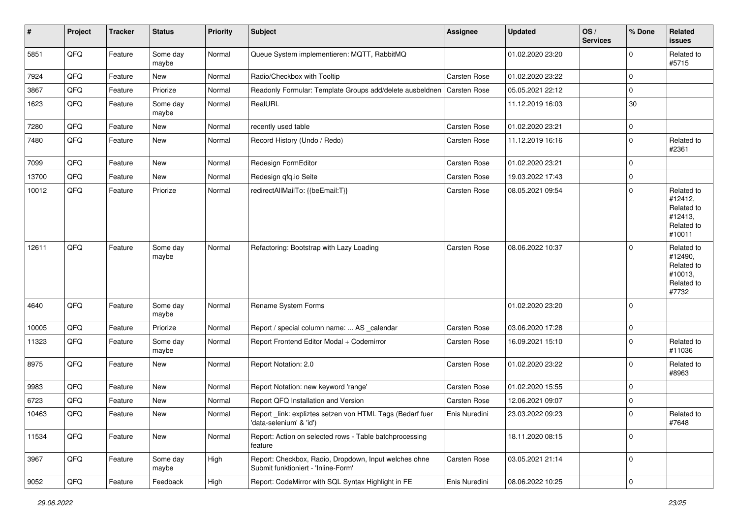| #     | Project | <b>Tracker</b> | <b>Status</b>     | <b>Priority</b> | Subject                                                                                      | <b>Assignee</b>     | <b>Updated</b>   | OS/<br><b>Services</b> | % Done              | Related<br>issues                                                      |
|-------|---------|----------------|-------------------|-----------------|----------------------------------------------------------------------------------------------|---------------------|------------------|------------------------|---------------------|------------------------------------------------------------------------|
| 5851  | QFQ     | Feature        | Some day<br>maybe | Normal          | Queue System implementieren: MQTT, RabbitMQ                                                  |                     | 01.02.2020 23:20 |                        | $\Omega$            | Related to<br>#5715                                                    |
| 7924  | QFQ     | Feature        | <b>New</b>        | Normal          | Radio/Checkbox with Tooltip                                                                  | Carsten Rose        | 01.02.2020 23:22 |                        | $\Omega$            |                                                                        |
| 3867  | QFQ     | Feature        | Priorize          | Normal          | Readonly Formular: Template Groups add/delete ausbeldnen                                     | Carsten Rose        | 05.05.2021 22:12 |                        | $\mathbf 0$         |                                                                        |
| 1623  | QFQ     | Feature        | Some day<br>maybe | Normal          | RealURL                                                                                      |                     | 11.12.2019 16:03 |                        | 30                  |                                                                        |
| 7280  | QFQ     | Feature        | <b>New</b>        | Normal          | recently used table                                                                          | Carsten Rose        | 01.02.2020 23:21 |                        | 0                   |                                                                        |
| 7480  | QFQ     | Feature        | New               | Normal          | Record History (Undo / Redo)                                                                 | Carsten Rose        | 11.12.2019 16:16 |                        | $\Omega$            | Related to<br>#2361                                                    |
| 7099  | QFQ     | Feature        | <b>New</b>        | Normal          | Redesign FormEditor                                                                          | Carsten Rose        | 01.02.2020 23:21 |                        | $\mathbf 0$         |                                                                        |
| 13700 | QFQ     | Feature        | <b>New</b>        | Normal          | Redesign qfq.io Seite                                                                        | Carsten Rose        | 19.03.2022 17:43 |                        | $\Omega$            |                                                                        |
| 10012 | QFQ     | Feature        | Priorize          | Normal          | redirectAllMailTo: {{beEmail:T}}                                                             | Carsten Rose        | 08.05.2021 09:54 |                        | $\Omega$            | Related to<br>#12412,<br>Related to<br>#12413,<br>Related to<br>#10011 |
| 12611 | QFQ     | Feature        | Some day<br>maybe | Normal          | Refactoring: Bootstrap with Lazy Loading                                                     | Carsten Rose        | 08.06.2022 10:37 |                        | $\Omega$            | Related to<br>#12490,<br>Related to<br>#10013,<br>Related to<br>#7732  |
| 4640  | QFQ     | Feature        | Some day<br>maybe | Normal          | Rename System Forms                                                                          |                     | 01.02.2020 23:20 |                        | $\Omega$            |                                                                        |
| 10005 | QFQ     | Feature        | Priorize          | Normal          | Report / special column name:  AS _calendar                                                  | <b>Carsten Rose</b> | 03.06.2020 17:28 |                        | $\mathbf 0$         |                                                                        |
| 11323 | QFQ     | Feature        | Some day<br>maybe | Normal          | Report Frontend Editor Modal + Codemirror                                                    | Carsten Rose        | 16.09.2021 15:10 |                        | $\Omega$            | Related to<br>#11036                                                   |
| 8975  | QFQ     | Feature        | New               | Normal          | Report Notation: 2.0                                                                         | Carsten Rose        | 01.02.2020 23:22 |                        | $\Omega$            | Related to<br>#8963                                                    |
| 9983  | QFQ     | Feature        | <b>New</b>        | Normal          | Report Notation: new keyword 'range'                                                         | Carsten Rose        | 01.02.2020 15:55 |                        | $\Omega$            |                                                                        |
| 6723  | QFQ     | Feature        | New               | Normal          | Report QFQ Installation and Version                                                          | Carsten Rose        | 12.06.2021 09:07 |                        | $\mathbf 0$         |                                                                        |
| 10463 | QFQ     | Feature        | New               | Normal          | Report _link: expliztes setzen von HTML Tags (Bedarf fuer<br>'data-selenium' & 'id')         | Enis Nuredini       | 23.03.2022 09:23 |                        | $\Omega$            | Related to<br>#7648                                                    |
| 11534 | QFQ     | Feature        | New               | Normal          | Report: Action on selected rows - Table batchprocessing<br>feature                           |                     | 18.11.2020 08:15 |                        | $\mathbf 0$         |                                                                        |
| 3967  | QFQ     | Feature        | Some day<br>maybe | High            | Report: Checkbox, Radio, Dropdown, Input welches ohne<br>Submit funktioniert - 'Inline-Form' | Carsten Rose        | 03.05.2021 21:14 |                        | 0                   |                                                                        |
| 9052  | QFG     | Feature        | Feedback          | High            | Report: CodeMirror with SQL Syntax Highlight in FE                                           | Enis Nuredini       | 08.06.2022 10:25 |                        | $\mathsf{O}\xspace$ |                                                                        |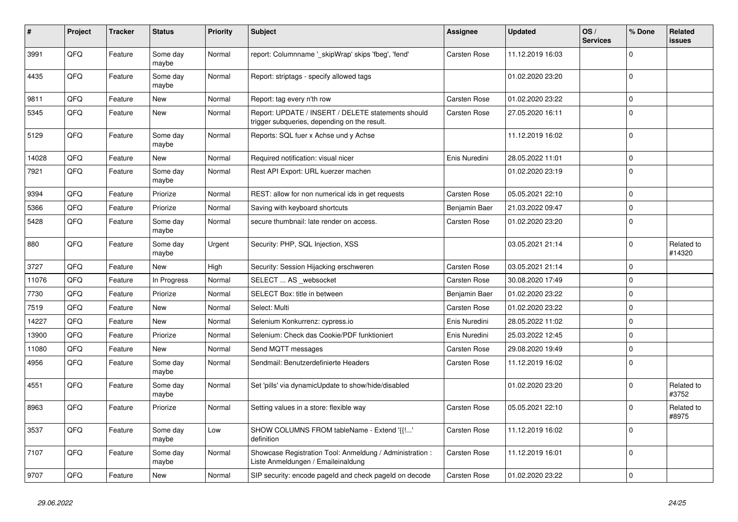| #     | Project | <b>Tracker</b> | <b>Status</b>     | <b>Priority</b> | <b>Subject</b>                                                                                     | Assignee            | Updated          | OS/<br><b>Services</b> | % Done      | Related<br><b>issues</b> |
|-------|---------|----------------|-------------------|-----------------|----------------------------------------------------------------------------------------------------|---------------------|------------------|------------------------|-------------|--------------------------|
| 3991  | QFQ     | Feature        | Some day<br>maybe | Normal          | report: Columnname '_skipWrap' skips 'fbeg', 'fend'                                                | Carsten Rose        | 11.12.2019 16:03 |                        | $\Omega$    |                          |
| 4435  | QFQ     | Feature        | Some day<br>maybe | Normal          | Report: striptags - specify allowed tags                                                           |                     | 01.02.2020 23:20 |                        | $\mathbf 0$ |                          |
| 9811  | QFQ     | Feature        | New               | Normal          | Report: tag every n'th row                                                                         | <b>Carsten Rose</b> | 01.02.2020 23:22 |                        | $\Omega$    |                          |
| 5345  | QFQ     | Feature        | New               | Normal          | Report: UPDATE / INSERT / DELETE statements should<br>trigger subqueries, depending on the result. | Carsten Rose        | 27.05.2020 16:11 |                        | $\Omega$    |                          |
| 5129  | QFQ     | Feature        | Some day<br>maybe | Normal          | Reports: SQL fuer x Achse und y Achse                                                              |                     | 11.12.2019 16:02 |                        | $\Omega$    |                          |
| 14028 | QFQ     | Feature        | <b>New</b>        | Normal          | Required notification: visual nicer                                                                | Enis Nuredini       | 28.05.2022 11:01 |                        | $\mathbf 0$ |                          |
| 7921  | QFQ     | Feature        | Some day<br>maybe | Normal          | Rest API Export: URL kuerzer machen                                                                |                     | 01.02.2020 23:19 |                        | $\Omega$    |                          |
| 9394  | QFQ     | Feature        | Priorize          | Normal          | REST: allow for non numerical ids in get requests                                                  | <b>Carsten Rose</b> | 05.05.2021 22:10 |                        | 0           |                          |
| 5366  | QFQ     | Feature        | Priorize          | Normal          | Saving with keyboard shortcuts                                                                     | Benjamin Baer       | 21.03.2022 09:47 |                        | 0           |                          |
| 5428  | QFQ     | Feature        | Some day<br>maybe | Normal          | secure thumbnail: late render on access.                                                           | Carsten Rose        | 01.02.2020 23:20 |                        | $\Omega$    |                          |
| 880   | QFQ     | Feature        | Some day<br>maybe | Urgent          | Security: PHP, SQL Injection, XSS                                                                  |                     | 03.05.2021 21:14 |                        | $\Omega$    | Related to<br>#14320     |
| 3727  | QFQ     | Feature        | <b>New</b>        | High            | Security: Session Hijacking erschweren                                                             | Carsten Rose        | 03.05.2021 21:14 |                        | $\Omega$    |                          |
| 11076 | QFQ     | Feature        | In Progress       | Normal          | SELECT  AS _websocket                                                                              | Carsten Rose        | 30.08.2020 17:49 |                        | $\mathbf 0$ |                          |
| 7730  | QFQ     | Feature        | Priorize          | Normal          | <b>SELECT Box: title in between</b>                                                                | Benjamin Baer       | 01.02.2020 23:22 |                        | 0           |                          |
| 7519  | QFQ     | Feature        | <b>New</b>        | Normal          | Select: Multi                                                                                      | Carsten Rose        | 01.02.2020 23:22 |                        | $\Omega$    |                          |
| 14227 | QFQ     | Feature        | <b>New</b>        | Normal          | Selenium Konkurrenz: cypress.io                                                                    | Enis Nuredini       | 28.05.2022 11:02 |                        | $\Omega$    |                          |
| 13900 | QFQ     | Feature        | Priorize          | Normal          | Selenium: Check das Cookie/PDF funktioniert                                                        | Enis Nuredini       | 25.03.2022 12:45 |                        | $\Omega$    |                          |
| 11080 | QFQ     | Feature        | <b>New</b>        | Normal          | Send MQTT messages                                                                                 | Carsten Rose        | 29.08.2020 19:49 |                        | 0           |                          |
| 4956  | QFQ     | Feature        | Some day<br>maybe | Normal          | Sendmail: Benutzerdefinierte Headers                                                               | Carsten Rose        | 11.12.2019 16:02 |                        | $\Omega$    |                          |
| 4551  | QFQ     | Feature        | Some day<br>maybe | Normal          | Set 'pills' via dynamicUpdate to show/hide/disabled                                                |                     | 01.02.2020 23:20 |                        | $\Omega$    | Related to<br>#3752      |
| 8963  | QFQ     | Feature        | Priorize          | Normal          | Setting values in a store: flexible way                                                            | <b>Carsten Rose</b> | 05.05.2021 22:10 |                        | $\Omega$    | Related to<br>#8975      |
| 3537  | QFQ     | Feature        | Some day<br>maybe | Low             | SHOW COLUMNS FROM tableName - Extend '{{!'<br>definition                                           | <b>Carsten Rose</b> | 11.12.2019 16:02 |                        | $\Omega$    |                          |
| 7107  | QFQ     | Feature        | Some day<br>maybe | Normal          | Showcase Registration Tool: Anmeldung / Administration :<br>Liste Anmeldungen / Emaileinaldung     | Carsten Rose        | 11.12.2019 16:01 |                        | $\Omega$    |                          |
| 9707  | QFQ     | Feature        | New               | Normal          | SIP security: encode pageld and check pageld on decode                                             | Carsten Rose        | 01.02.2020 23:22 |                        | $\mathbf 0$ |                          |